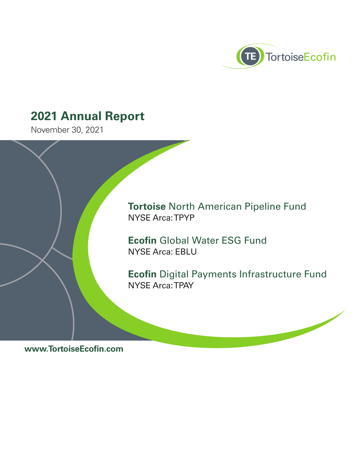

# **2021 Annual Report**

November 30, 2021

**Tortoise** North American Pipeline Fund NYSE Arca: TPYP

**Ecofin** Global Water ESG Fund NYSE Arca: EBLU

**Ecofin** Digital Payments Infrastructure Fund NYSE Arca: TPAY

**www.TortoiseEcofin.com**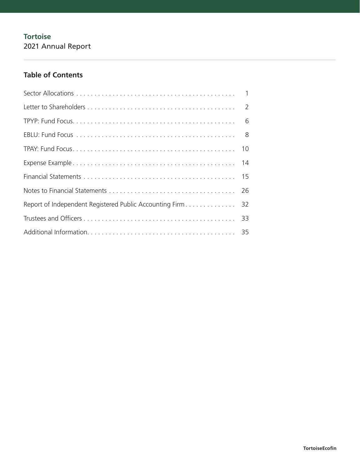# **Tortoise**  2021 Annual Report

# **Table of Contents**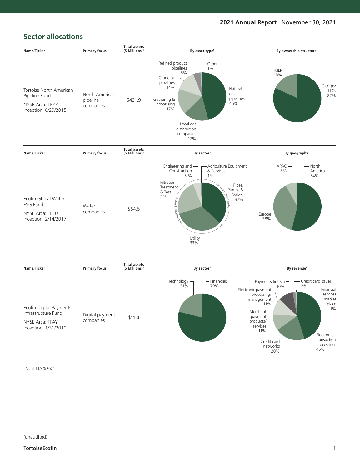# **Sector allocations**





1 As of 11/30/2021

(unaudited)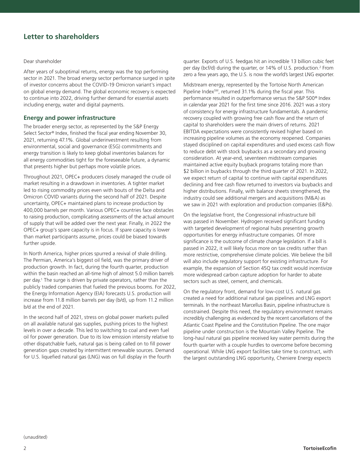# **Letter to shareholders**

#### Dear shareholder

After years of suboptimal returns, energy was the top performing sector in 2021. The broad energy sector performance surged in spite of investor concerns about the COVID-19 Omicron variant's impact on global energy demand. The global economic recovery is expected to continue into 2022, driving further demand for essential assets including energy, water and digital payments.

#### **Energy and power infrastructure**

The broader energy sector, as represented by the S&P Energy Select Sector® Index, finished the fiscal year ending November 30, 2021, returning 47.1%. Global underinvestment resulting from environmental, social and governance (ESG) commitments and energy transition is likely to keep global inventories balances for all energy commodities tight for the foreseeable future, a dynamic that presents higher but perhaps more volatile prices.

Throughout 2021, OPEC+ producers closely managed the crude oil market resulting in a drawdown in inventories. A tighter market led to rising commodity prices even with bouts of the Delta and Omicron COVID variants during the second half of 2021. Despite uncertainty, OPEC+ maintained plans to increase production by 400,000 barrels per month. Various OPEC+ countries face obstacles to raising production, complicating assessments of the actual amount of supply that will be added over the next year. Finally, in 2022 the OPEC+ group's spare capacity is in focus. If spare capacity is lower than market participants assume, prices could be biased towards further upside.

In North America, higher prices spurred a revival of shale drilling. The Permian, America's biggest oil field, was the primary driver of production growth. In fact, during the fourth quarter, production within the basin reached an all-time high of almost 5.0 million barrels per day. 1 The surge is driven by private operators, rather than the publicly traded companies that fueled the previous booms. For 2022, the Energy Information Agency (EIA) forecasts U.S. production will increase from 11.8 million barrels per day (b/d), up from 11.2 million b/d at the end of 2021.

In the second half of 2021, stress on global power markets pulled on all available natural gas supplies, pushing prices to the highest levels in over a decade. This led to switching to coal and even fuel oil for power generation. Due to its low emission intensity relative to other dispatchable fuels, natural gas is being called on to fill power generation gaps created by intermittent renewable sources. Demand for U.S. liquefied natural gas (LNG) was on full display in the fourth

quarter. Exports of U.S. feedgas hit an incredible 13 billion cubic feet per day (bcf/d) during the quarter, or 14% of U.S. production. 2 From zero a few years ago, the U.S. is now the world's largest LNG exporter.

Midstream energy, represented by the Tortoise North American Pipeline Index<sup>SM</sup>, returned 31.1% during the fiscal year. This performance resulted in outperformance versus the S&P 500® Index in calendar year 2021 for the first time since 2016. 2021 was a story of consistency for energy infrastructure fundamentals. A pandemic recovery coupled with growing free cash flow and the return of capital to shareholders were the main drivers of returns. 2021 EBITDA expectations were consistently revised higher based on increasing pipeline volumes as the economy reopened. Companies stayed disciplined on capital expenditures and used excess cash flow to reduce debt with stock buybacks as a secondary and growing consideration. At year-end, seventeen midstream companies maintained active equity buyback programs totaling more than \$2 billion in buybacks through the third quarter of 2021. In 2022, we expect return of capital to continue with capital expenditures declining and free cash flow returned to investors via buybacks and higher distributions. Finally, with balance sheets strengthened, the industry could see additional mergers and acquisitions (M&A) as we saw in 2021 with exploration and production companies (E&Ps).

On the legislative front, the Congressional infrastructure bill was passed in November. Hydrogen received significant funding with targeted development of regional hubs presenting growth opportunities for energy infrastructure companies. Of more significance is the outcome of climate change legislation. If a bill is passed in 2022, it will likely focus more on tax credits rather than more restrictive, comprehensive climate policies. We believe the bill will also include regulatory support for existing infrastructure. For example, the expansion of Section 45Q tax credit would incentivize more widespread carbon capture adoption for harder to abate sectors such as steel, cement, and chemicals.

On the regulatory front, demand for low-cost U.S. natural gas created a need for additional natural gas pipelines and LNG export terminals. In the northeast Marcellus Basin, pipeline infrastructure is constrained. Despite this need, the regulatory environment remains incredibly challenging as evidenced by the recent cancellations of the Atlantic Coast Pipeline and the Constitution Pipeline. The one major pipeline under construction is the Mountain Valley Pipeline. The long-haul natural gas pipeline received key water permits during the fourth quarter with a couple hurdles to overcome before becoming operational. While LNG export facilities take time to construct, with the largest outstanding LNG opportunity, Cheniere Energy expects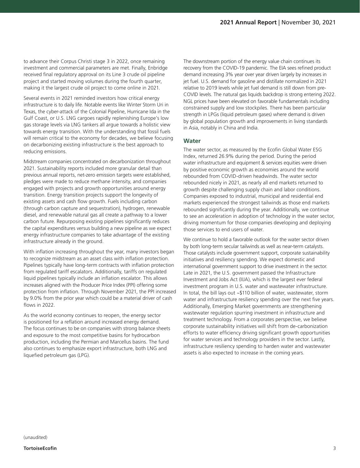to advance their Corpus Christi stage 3 in 2022, once remaining investment and commercial parameters are met. Finally, Enbridge received final regulatory approval on its Line 3 crude oil pipeline project and started moving volumes during the fourth quarter, making it the largest crude oil project to come online in 2021.

Several events in 2021 reminded investors how critical energy infrastructure is to daily life. Notable events like Winter Storm Uri in Texas, the cyber-attack of the Colonial Pipeline, Hurricane Ida in the Gulf Coast, or U.S. LNG cargoes rapidly replenishing Europe's low gas storage levels via LNG tankers all argue towards a holistic view towards energy transition. With the understanding that fossil fuels will remain critical to the economy for decades, we believe focusing on decarbonizing existing infrastructure is the best approach to reducing emissions.

Midstream companies concentrated on decarbonization throughout 2021. Sustainability reports included more granular detail than previous annual reports, net-zero emission targets were established, pledges were made to reduce methane intensity, and companies engaged with projects and growth opportunities around energy transition. Energy transition projects support the longevity of existing assets and cash flow growth. Fuels including carbon (through carbon capture and sequestration), hydrogen, renewable diesel, and renewable natural gas all create a pathway to a lower carbon future. Repurposing existing pipelines significantly reduces the capital expenditures versus building a new pipeline as we expect energy infrastructure companies to take advantage of the existing infrastructure already in the ground.

With inflation increasing throughout the year, many investors began to recognize midstream as an asset class with inflation protection. Pipelines typically have long-term contracts with inflation protection from regulated tariff escalators. Additionally, tariffs on regulated liquid pipelines typically include an inflation escalator. This allows increases aligned with the Producer Price Index (PPI) offering some protection from inflation. Through November 2021, the PPI increased by 9.0% from the prior year which could be a material driver of cash flows in 2022.

As the world economy continues to reopen, the energy sector is positioned for a reflation around increased energy demand. The focus continues to be on companies with strong balance sheets and exposure to the most competitive basins for hydrocarbon production, including the Permian and Marcellus basins. The fund also continues to emphasize export infrastructure, both LNG and liquefied petroleum gas (LPG).

The downstream portion of the energy value chain continues its recovery from the COVID-19 pandemic. The EIA sees refined product demand increasing 3% year over year driven largely by increases in jet fuel. U.S. demand for gasoline and distillate normalized in 2021 relative to 2019 levels while jet fuel demand is still down from pre-COVID levels. The natural gas liquids backdrop is strong entering 2022. NGL prices have been elevated on favorable fundamentals including constrained supply and low stockpiles. There has been particular strength in LPGs (liquid petroleum gases) where demand is driven by global population growth and improvements in living standards in Asia, notably in China and India.

#### **Water**

The water sector, as measured by the Ecofin Global Water ESG Index, returned 26.9% during the period. During the period water infrastructure and equipment & services equities were driven by positive economic growth as economies around the world rebounded from COVID-driven headwinds. The water sector rebounded nicely in 2021, as nearly all end markets returned to growth despite challenging supply chain and labor conditions. Companies exposed to industrial, municipal and residential end markets experienced the strongest tailwinds as those end markets rebounded significantly during the year. Additionally, we continue to see an acceleration in adoption of technology in the water sector, driving momentum for those companies developing and deploying those services to end users of water.

We continue to hold a favorable outlook for the water sector driven by both long-term secular tailwinds as well as near-term catalysts. Those catalysts include government support, corporate sustainability initiatives and resiliency spending. We expect domestic and international government support to drive investment in the sector. Late in 2021, the U.S. government passed the Infrastructure Investment and Jobs Act (IIJA), which is the largest ever federal investment program in U.S. water and wastewater infrastructure. In total, the bill lays out ~\$110 billion of water, wastewater, storm water and infrastructure resiliency spending over the next five years. Additionally, Emerging Market governments are strengthening wastewater regulation spurring investment in infrastructure and treatment technology. From a corporates perspective, we believe corporate sustainability initiatives will shift from de-carbonization efforts to water efficiency driving significant growth opportunities for water services and technology providers in the sector. Lastly, infrastructure resiliency spending to harden water and wastewater assets is also expected to increase in the coming years.

(unaudited)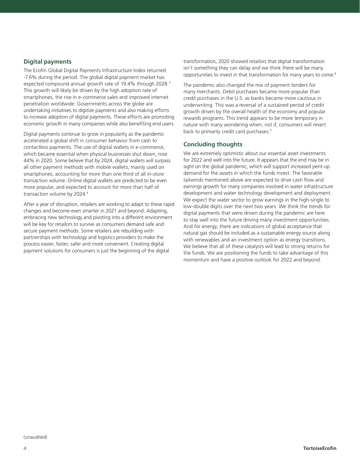#### **Digital payments**

The Ecofin Global Digital Payments Infrastructure Index returned -7.6% during the period. The global digital payment market has expected compound annual growth rate of 19.4% through 2028. 3 This growth will likely be driven by the high adoption rate of smartphones, the rise in e-commerce sales and improved internet penetration worldwide. Governments across the globe are undertaking initiatives to digitize payments and also making efforts to increase adoption of digital payments. These efforts are promoting economic growth in many companies while also benefiting end users.

Digital payments continue to grow in popularity as the pandemic accelerated a global shift in consumer behavior from cash to contactless payments. The use of digital wallets in e-commerce, which became essential when physical businesses shut down, rose 44% in 2020. Some believe that by 2024, digital wallets will surpass all other payment methods with mobile wallets, mainly used on smartphones, accounting for more than one third of all in-store transaction volume. Online digital wallets are predicted to be even more popular, and expected to account for more than half of transaction volume by 2024. 4

After a year of disruption, retailers are working to adapt to these rapid changes and become even smarter in 2021 and beyond. Adapting, embracing new technology and pivoting into a different environment will be key for retailors to survive as consumers demand safe and secure payment methods. Some retailers are rebuilding with partnerships with technology and logistics providers to make the process easier, faster, safer and more convenient. Creating digital payment solutions for consumers is just the beginning of the digital

transformation, 2020 showed retailors that digital transformation isn't something they can delay and we think there will be many opportunities to invest in that transformation for many years to come. 4

The pandemic also changed the mix of payment tenders for many merchants. Debit purchases became more popular than credit purchases in the U.S. as banks became more cautious in underwriting. This was a reversal of a sustained period of credit growth driven by the overall health of the economy and popular rewards programs. This trend appears to be more temporary in nature with many wondering when, not if, consumers will revert back to primarily credit card purchases. 5

### **Concluding thoughts**

We are extremely optimistic about our essential asset investments for 2022 and well into the future. It appears that the end may be in sight on the global pandemic, which will support increased pent-up demand for the assets in which the funds invest. The favorable tailwinds mentioned above are expected to drive cash flow and earnings growth for many companies involved in water infrastructure development and water technology development and deployment. We expect the water sector to grow earnings in the high-single to low-double digits over the next two years. We think the trends for digital payments that were driven during the pandemic are here to stay well into the future driving many investment opportunities. And for energy, there are indications of global acceptance that natural gas should be included as a sustainable energy source along with renewables and an investment option as energy transitions. We believe that all of these catalysts will lead to strong returns for the funds. We are positioning the funds to take advantage of this momentum and have a positive outlook for 2022 and beyond.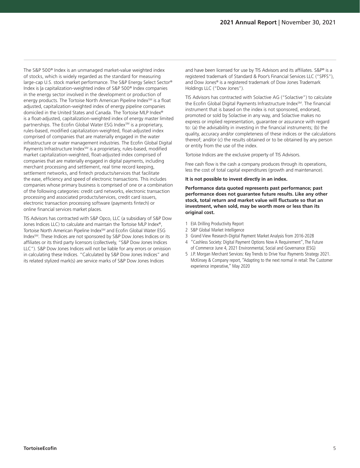The S&P 500® Index is an unmanaged market-value weighted index of stocks, which is widely regarded as the standard for measuring large-cap U.S. stock market performance. The S&P Energy Select Sector® Index is |a capitalization-weighted index of S&P 500® Index companies in the energy sector involved in the development or production of energy products. The Tortoise North American Pipeline Index<sup>SM</sup> is a float adjusted, capitalization-weighted index of energy pipeline companies domiciled in the United States and Canada. The Tortoise MLP Index® is a float-adjusted, capitalization-weighted index of energy master limited partnerships. The Ecofin Global Water ESG Index<sup>5M</sup> is a proprietary, rules-based, modified capitalization-weighted, float-adjusted index comprised of companies that are materially engaged in the water infrastructure or water management industries. The Ecofin Global Digital Payments Infrastructure Index<sup>SM</sup> is a proprietary, rules-based, modified market capitalization-weighted, float-adjusted index comprised of companies that are materially engaged in digital payments, including merchant processing and settlement, real time record keeping, settlement networks, and fintech products/services that facilitate the ease, efficiency and speed of electronic transactions. This includes companies whose primary business is comprised of one or a combination of the following categories: credit card networks, electronic transaction processing and associated products/services, credit card issuers, electronic transaction processing software (payments fintech) or online financial services market places.

TIS Advisors has contracted with S&P Opco, LLC (a subsidiary of S&P Dow Jones Indices LLC) to calculate and maintain the Tortoise MLP Index®, Tortoise North American Pipeline Index<sup>5M</sup> and Ecofin Global Water ESG Index<sup>SM</sup>. These Indices are not sponsored by S&P Dow Jones Indices or its affiliates or its third party licensors (collectively, "S&P Dow Jones Indices LLC"). S&P Dow Jones Indices will not be liable for any errors or omission in calculating these Indices. "Calculated by S&P Dow Jones Indices" and its related stylized mark(s) are service marks of S&P Dow Jones Indices

and have been licensed for use by TIS Advisors and its affiliates. S&P® is a registered trademark of Standard & Poor's Financial Services LLC ("SPFS"), and Dow Jones® is a registered trademark of Dow Jones Trademark Holdings LLC ("Dow Jones").

TIS Advisors has contracted with Solactive AG ("Solactive") to calculate the Ecofin Global Digital Payments Infrastructure Index<sup>SM</sup>. The financial instrument that is based on the index is not sponsored, endorsed, promoted or sold by Solactive in any way, and Solactive makes no express or implied representation, guarantee or assurance with regard to: (a) the advisability in investing in the financial instruments; (b) the quality, accuracy and/or completeness of these indices or the calculations thereof; and/or (c) the results obtained or to be obtained by any person or entity from the use of the index.

Tortoise Indices are the exclusive property of TIS Advisors.

Free cash flow is the cash a company produces through its operations, less the cost of total capital expenditures (growth and maintenance).

**It is not possible to invest directly in an index.**

**Performance data quoted represents past performance; past performance does not guarantee future results. Like any other stock, total return and market value will fluctuate so that an investment, when sold, may be worth more or less than its original cost.** 

- 1 EIA Drilling Productivity Report
- 2 S&P Global Market Intelligence
- 3 Grand View Research-Digital Payment Market Analysis from 2016-2028
- 4 "Cashless Society: Digital Payment Options Now A Requirement", The Future of Commerce June 4, 2021 Environmental, Social and Governance (ESG)
- 5 J.P. Morgan Merchant Services: Key Trends to Drive Your Payments Strategy 2021. McKinsey & Company report, "Adapting to the next normal in retail: The Customer experience imperative," May 2020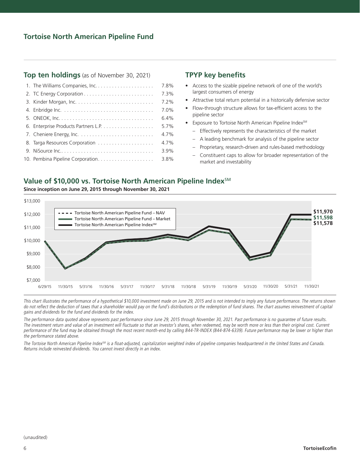**Top ten holdings** (as of November 30, 2021)

|                                | 7.8% |
|--------------------------------|------|
|                                | 7.3% |
|                                | 7.2% |
|                                | 7.0% |
|                                | 6.4% |
|                                | 5.7% |
|                                | 4.7% |
| 8. Targa Resources Corporation | 4.7% |
|                                | 3.9% |
|                                | 3.8% |

**Since inception on June 29, 2015 through November 30, 2021**

# **TPYP key benefits**

- Access to the sizable pipeline network of one of the world's largest consumers of energy
- Attractive total return potential in a historically defensive sector
- Flow-through structure allows for tax-efficient access to the pipeline sector
- Exposure to Tortoise North American Pipeline Index<sup>SM</sup>
	- Effectively represents the characteristics of the market
	- A leading benchmark for analysis of the pipeline sector
	- Proprietary, research-driven and rules-based methodology
	- Constituent caps to allow for broader representation of the market and investability

# Value of \$10,000 vs. Tortoise North American Pipeline Index<sup>SM</sup>

\$13,000 \$12,000 \$11,000 \$10,000 \$9,000 \$8,000 \$7,000 6/29/15 11/30/15 5/31/16 11/30/16 5/31/17 11/30/17 5/31/18 11/30/18 5/31/19 11/30/19 5/31/20 11/30/20 5/31/21 11/30/21 **\$11,598 \$11,578** Tortoise North American Pipeline Fund – NAV **\$11,970 \$11,970** Tortoise North American Pipeline Fund – Market Tortoise North American Pipeline Index<sup>SM</sup>

This chart illustrates the performance of a hypothetical \$10,000 investment made on June 29, 2015 and is not intended to imply any future performance. The returns shown do not reflect the deduction of taxes that a shareholder would pay on the fund's distributions or the redemption of fund shares. The chart assumes reinvestment of capital gains and dividends for the fund and dividends for the index.

The performance data quoted above represents past performance since June 29, 2015 through November 30, 2021. Past performance is no guarantee of future results. The investment return and value of an investment will fluctuate so that an investor's shares, when redeemed, may be worth more or less than their original cost. Current performance of the fund may be obtained through the most recent month-end by calling 844-TR-INDEX (844-874-6339). Future performance may be lower or higher than the performance stated above.

The Tortoise North American Pipeline Index<sup>5M</sup> is a float-adjusted, capitalization weighted index of pipeline companies headquartered in the United States and Canada. Returns include reinvested dividends. You cannot invest directly in an index.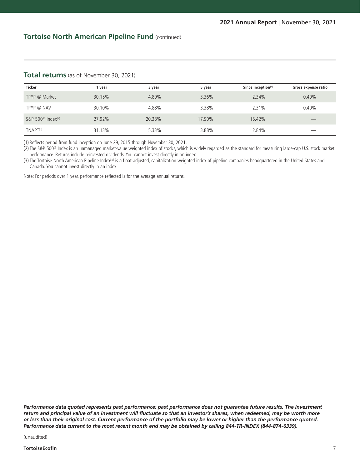# **Tortoise North American Pipeline Fund (continued)**

| Ticker                                    | l year | 3 year | 5 year | Since inception <sup>(1)</sup> | Gross expense ratio |
|-------------------------------------------|--------|--------|--------|--------------------------------|---------------------|
| TPYP @ Market                             | 30.15% | 4.89%  | 3.36%  | 2.34%                          | 0.40%               |
| TPYP @ NAV                                | 30.10% | 4.88%  | 3.38%  | 2.31%                          | 0.40%               |
| S&P 500 <sup>®</sup> Index <sup>(2)</sup> | 27.92% | 20.38% | 17.90% | 15.42%                         |                     |
| TNAPT <sup>(3)</sup>                      | 31.13% | 5.33%  | 3.88%  | 2.84%                          |                     |

### **Total returns** (as of November 30, 2021)

(1) Reflects period from fund inception on June 29, 2015 through November 30, 2021.

(2) The S&P 500® Index is an unmanaged market-value weighted index of stocks, which is widely regarded as the standard for measuring large-cap U.S. stock market performance. Returns include reinvested dividends. You cannot invest directly in an index.

(3) The Tortoise North American Pipeline Index<sup>sM</sup> is a float-adjusted, capitalization weighted index of pipeline companies headquartered in the United States and Canada. You cannot invest directly in an index.

Note: For periods over 1 year, performance reflected is for the average annual returns.

*Performance data quoted represents past performance; past performance does not guarantee future results. The investment return and principal value of an investment will fluctuate so that an investor's shares, when redeemed, may be worth more or less than their original cost. Current performance of the portfolio may be lower or higher than the performance quoted. Performance data current to the most recent month end may be obtained by calling 844-TR-INDEX (844-874-6339).*

(unaudited)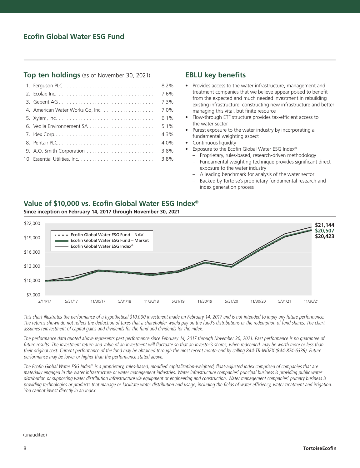**Top ten holdings** (as of November 30, 2021)

|                                  | 8.2% |
|----------------------------------|------|
|                                  | 7.6% |
|                                  | 7.3% |
| 4. American Water Works Co, Inc. | 7.0% |
|                                  | 6.1% |
|                                  | 5.1% |
|                                  | 4.3% |
|                                  | 4.0% |
|                                  | 3.8% |
|                                  | 3.8% |
|                                  |      |

# **EBLU key benefits**

- Provides access to the water infrastructure, management and treatment companies that we believe appear poised to benefit from the expected and much needed investment in rebuilding existing infrastructure, constructing new infrastructure and better managing this vital, but finite resource
- Flow-through ETF structure provides tax-efficient access to the water sector
- Purest exposure to the water industry by incorporating a fundamental weighting aspect
- Continuous liquidity
- Exposure to the Ecofin Global Water ESG Index®
	- Proprietary, rules-based, research-driven methodology
	- Fundamental weighting technique provides significant direct exposure to the water industry
	- A leading benchmark for analysis of the water sector
	- Backed by Tortoise's proprietary fundamental research and index generation process

# **Value of \$10,000 vs. Ecofin Global Water ESG Index**®

**Since inception on February 14, 2017 through November 30, 2021**



This chart illustrates the performance of a hypothetical \$10,000 investment made on February 14, 2017 and is not intended to imply any future performance. The returns shown do not reflect the deduction of taxes that a shareholder would pay on the fund's distributions or the redemption of fund shares. The chart assumes reinvestment of capital gains and dividends for the fund and dividends for the index.

The performance data quoted above represents past performance since February 14, 2017 through November 30, 2021. Past performance is no guarantee of future results. The investment return and value of an investment will fluctuate so that an investor's shares, when redeemed, may be worth more or less than their original cost. Current performance of the fund may be obtained through the most recent month-end by calling 844-TR-INDEX (844-874-6339). Future performance may be lower or higher than the performance stated above.

The Ecofin Global Water ESG Index® is a proprietary, rules-based, modified capitalization-weighted, float-adjusted index comprised of companies that are materially engaged in the water infrastructure or water management industries. Water infrastructure companies' principal business is providing public water distribution or supporting water distribution infrastructure via equipment or engineering and construction. Water management companies' primary business is providing technologies or products that manage or facilitate water distribution and usage, including the fields of water efficiency, water treatment and irrigation. You cannot invest directly in an index.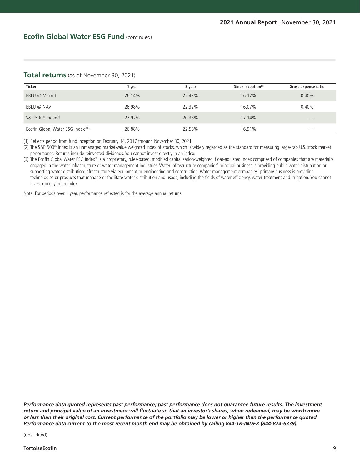# **Total returns** (as of November 30, 2021)

| <b>Ticker</b>                             | 1 year | 3 year | Since inception <sup>(1)</sup> | Gross expense ratio |
|-------------------------------------------|--------|--------|--------------------------------|---------------------|
| EBLU @ Market                             | 26.14% | 22.43% | 16.17%                         | 0.40%               |
| EBLU @ NAV                                | 26.98% | 22.32% | 16.07%                         | 0.40%               |
| S&P 500 <sup>®</sup> Index <sup>(2)</sup> | 27.92% | 20.38% | 17.14%                         |                     |
| Ecofin Global Water ESG Index®(3)         | 26.88% | 22.58% | 16.91%                         | __                  |

(1) Reflects period from fund inception on February 14, 2017 through November 30, 2021.

(2) The S&P 500® Index is an unmanaged market-value weighted index of stocks, which is widely regarded as the standard for measuring large-cap U.S. stock market performance. Returns include reinvested dividends. You cannot invest directly in an index.

(3) The Ecofin Global Water ESG Index® is a proprietary, rules-based, modified capitalization-weighted, float-adjusted index comprised of companies that are materially engaged in the water infrastructure or water management industries. Water infrastructure companies' principal business is providing public water distribution or supporting water distribution infrastructure via equipment or engineering and construction. Water management companies' primary business is providing technologies or products that manage or facilitate water distribution and usage, including the fields of water efficiency, water treatment and irrigation. You cannot invest directly in an index.

Note: For periods over 1 year, performance reflected is for the average annual returns.

*Performance data quoted represents past performance; past performance does not guarantee future results. The investment return and principal value of an investment will fluctuate so that an investor's shares, when redeemed, may be worth more or less than their original cost. Current performance of the portfolio may be lower or higher than the performance quoted. Performance data current to the most recent month end may be obtained by calling 844-TR-INDEX (844-874-6339).*

(unaudited)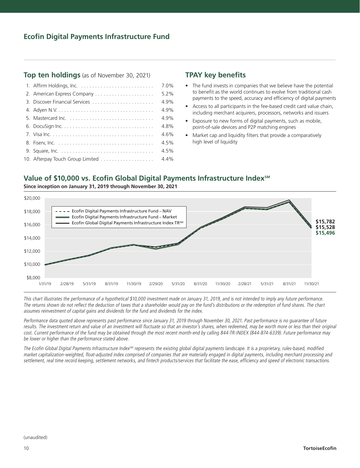**Top ten holdings** (as of November 30, 2021)

| 1. Affirm Holdings, Inc.         | 7.0% |
|----------------------------------|------|
|                                  | 5.2% |
| 3. Discover Financial Services   | 4.9% |
|                                  | 4.9% |
|                                  | 4.9% |
|                                  | 4.8% |
|                                  | 4.6% |
|                                  | 4.5% |
|                                  | 4.5% |
| 10. Afterpay Touch Group Limited | 4.4% |

# **TPAY key benefits**

- The fund invests in companies that we believe have the potential to benefit as the world continues to evolve from traditional cash payments to the speed, accuracy and efficiency of digital payments
- Access to all participants in the fee-based credit card value chain, including merchant acquirers, processors, networks and issuers
- Exposure to new forms of digital payments, such as mobile, point-of-sale devices and P2P matching engines
- Market cap and liquidity filters that provide a comparatively high level of liquidity

# **Value of \$10,000 vs. Ecofin Global Digital Payments Infrastructure Index<sup>5M</sup>**

**Since inception on January 31, 2019 through November 30, 2021**



This chart illustrates the performance of a hypothetical \$10,000 investment made on January 31, 2019, and is not intended to imply any future performance. The returns shown do not reflect the deduction of taxes that a shareholder would pay on the fund's distributions or the redemption of fund shares. The chart assumes reinvestment of capital gains and dividends for the fund and dividends for the index.

Performance data quoted above represents past performance since January 31, 2019 through November 30, 2021. Past performance is no guarantee of future results. The investment return and value of an investment will fluctuate so that an investor's shares, when redeemed, may be worth more or less than their original cost. Current performance of the fund may be obtained through the most recent month-end by calling 844-TR-INDEX (844-874-6339). Future performance may be lower or higher than the performance stated above.

The Ecofin Global Digital Payments Infrastructure Index<sup>5M</sup> represents the existing global digital payments landscape. It is a proprietary, rules-based, modified market capitalization-weighted, float-adjusted index comprised of companies that are materially engaged in digital payments, including merchant processing and settlement, real time record keeping, settlement networks, and fintech products/services that facilitate the ease, efficiency and speed of electronic transactions.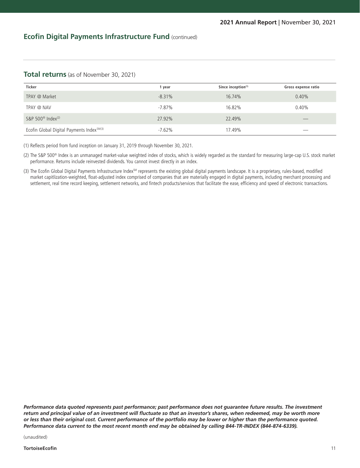# **Ecofin Digital Payments Infrastructure Fund** (continued)

### **Total returns** (as of November 30, 2021)

| Ticker                                                | year      | Since inception <sup>(1)</sup> | Gross expense ratio |
|-------------------------------------------------------|-----------|--------------------------------|---------------------|
| TPAY @ Market                                         | $-8.31%$  | 16.74%                         | 0.40%               |
| TPAY @ NAV                                            | -7.87%    | 16.82%                         | 0.40%               |
| S&P 500 <sup>®</sup> Index <sup>(2)</sup>             | 27.92%    | 22.49%                         |                     |
| Ecofin Global Digital Payments Index <sup>SM(3)</sup> | $-7.62\%$ | 17.49%                         |                     |

(1) Reflects period from fund inception on January 31, 2019 through November 30, 2021.

(2) The S&P 500® Index is an unmanaged market-value weighted index of stocks, which is widely regarded as the standard for measuring large-cap U.S. stock market performance. Returns include reinvested dividends. You cannot invest directly in an index.

(3) The Ecofin Global Digital Payments Infrastructure Index<sup>5M</sup> represents the existing global digital payments landscape. It is a proprietary, rules-based, modified market capitlization-weighted, float-adjusted index comprised of companies that are materially engaged in digital payments, including merchant processing and settlement, real time record keeping, settlement networks, and fintech products/services that facilitate the ease, efficiency and speed of electronic transactions.

*Performance data quoted represents past performance; past performance does not guarantee future results. The investment return and principal value of an investment will fluctuate so that an investor's shares, when redeemed, may be worth more or less than their original cost. Current performance of the portfolio may be lower or higher than the performance quoted. Performance data current to the most recent month end may be obtained by calling 844-TR-INDEX (844-874-6339).* 

(unaudited)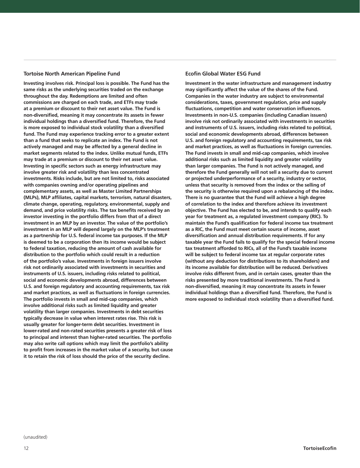#### **Tortoise North American Pipeline Fund**

**Investing involves risk. Principal loss is possible. The Fund has the same risks as the underlying securities traded on the exchange throughout the day. Redemptions are limited and often commissions are charged on each trade, and ETFs may trade at a premium or discount to their net asset value. The Fund is non-diversified, meaning it may concentrate its assets in fewer individual holdings than a diversified fund. Therefore, the Fund is more exposed to individual stock volatility than a diversified fund. The Fund may experience tracking error to a greater extent than a fund that seeks to replicate an index. The Fund is not actively managed and may be affected by a general decline in market segments related to the index. Unlike mutual funds, ETFs may trade at a premium or discount to their net asset value. Investing in specific sectors such as energy infrastructure may involve greater risk and volatility than less concentrated investments. Risks include, but are not limited to, risks associated with companies owning and/or operating pipelines and complementary assets, as well as Master Limited Partnerships (MLPs), MLP affiliates, capital markets, terrorism, natural disasters, climate change, operating, regulatory, environmental, supply and demand, and price volatility risks. The tax benefits received by an investor investing in the portfolio differs from that of a direct investment in an MLP by an investor. The value of the portfolio's investment in an MLP will depend largely on the MLP's treatment as a partnership for U.S. federal income tax purposes. If the MLP is deemed to be a corporation then its income would be subject to federal taxation, reducing the amount of cash available for distribution to the portfolio which could result in a reduction of the portfolio's value. Investments in foreign issuers involve risk not ordinarily associated with investments in securities and instruments of U.S. issuers, including risks related to political, social and economic developments abroad, differences between U.S. and foreign regulatory and accounting requirements, tax risk and market practices, as well as fluctuations in foreign currencies. The portfolio invests in small and mid-cap companies, which involve additional risks such as limited liquidity and greater volatility than larger companies. Investments in debt securities typically decrease in value when interest rates rise. This risk is usually greater for longer-term debt securities. Investment in lower-rated and non-rated securities presents a greater risk of loss to principal and interest than higher-rated securities. The portfolio may also write call options which may limit the portfolio's ability to profit from increases in the market value of a security, but cause it to retain the risk of loss should the price of the security decline.**

#### **Ecofin Global Water ESG Fund**

**Investment in the water infrastructure and management industry may significantly affect the value of the shares of the Fund. Companies in the water industry are subject to environmental considerations, taxes, government regulation, price and supply fluctuations, competition and water conservation influences. Investments in non-U.S. companies (including Canadian issuers) involve risk not ordinarily associated with investments in securities and instruments of U.S. issuers, including risks related to political, social and economic developments abroad, differences between U.S. and foreign regulatory and accounting requirements, tax risk and market practices, as well as fluctuations in foreign currencies. The Fund invests in small and mid-cap companies, which involve additional risks such as limited liquidity and greater volatility than larger companies. The Fund is not actively managed, and therefore the Fund generally will not sell a security due to current or projected underperformance of a security, industry or sector, unless that security is removed from the index or the selling of the security is otherwise required upon a rebalancing of the index. There is no guarantee that the Fund will achieve a high degree of correlation to the index and therefore achieve its investment objective. The Fund has elected to be, and intends to qualify each year for treatment as, a regulated investment company (RIC). To maintain the Fund's qualification for federal income tax treatment as a RIC, the Fund must meet certain source of income, asset diversification and annual distribution requirements. If for any taxable year the Fund fails to qualify for the special federal income tax treatment afforded to RICs, all of the Fund's taxable income will be subject to federal income tax at regular corporate rates (without any deduction for distributions to its shareholders) and its income available for distribution will be reduced. Derivatives involve risks different from, and in certain cases, greater than the risks presented by more traditional investments. The Fund is non-diversified, meaning it may concentrate its assets in fewer individual holdings than a diversified fund. Therefore, the Fund is more exposed to individual stock volatility than a diversified fund.**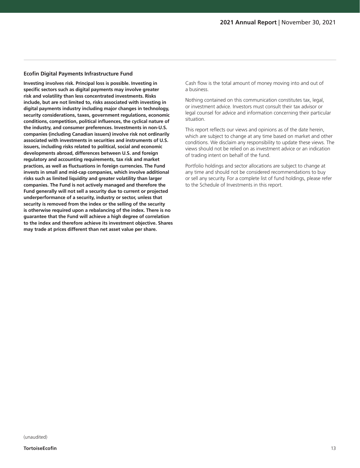#### **Ecofin Digital Payments Infrastructure Fund**

**Investing involves risk. Principal loss is possible. Investing in specific sectors such as digital payments may involve greater risk and volatility than less concentrated investments. Risks include, but are not limited to, risks associated with investing in digital payments industry including major changes in technology, security considerations, taxes, government regulations, economic conditions, competition, political influences, the cyclical nature of the industry, and consumer preferences. Investments in non-U.S. companies (including Canadian issuers) involve risk not ordinarily associated with investments in securities and instruments of U.S. issuers, including risks related to political, social and economic developments abroad, differences between U.S. and foreign regulatory and accounting requirements, tax risk and market practices, as well as fluctuations in foreign currencies. The Fund invests in small and mid-cap companies, which involve additional risks such as limited liquidity and greater volatility than larger companies. The Fund is not actively managed and therefore the Fund generally will not sell a security due to current or projected underperformance of a security, industry or sector, unless that security is removed from the index or the selling of the security is otherwise required upon a rebalancing of the index. There is no guarantee that the Fund will achieve a high degree of correlation to the index and therefore achieve its investment objective. Shares may trade at prices different than net asset value per share.**

Cash flow is the total amount of money moving into and out of a business.

Nothing contained on this communication constitutes tax, legal, or investment advice. Investors must consult their tax advisor or legal counsel for advice and information concerning their particular situation.

This report reflects our views and opinions as of the date herein, which are subject to change at any time based on market and other conditions. We disclaim any responsibility to update these views. The views should not be relied on as investment advice or an indication of trading intent on behalf of the fund.

Portfolio holdings and sector allocations are subject to change at any time and should not be considered recommendations to buy or sell any security. For a complete list of fund holdings, please refer to the Schedule of Investments in this report.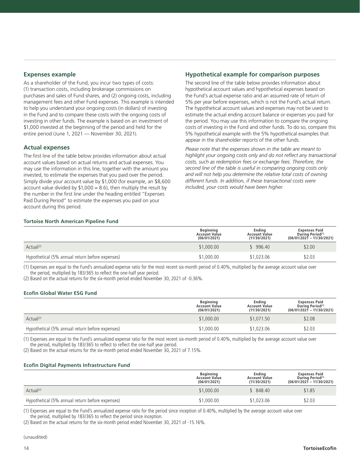### **Expenses example**

As a shareholder of the Fund, you incur two types of costs: (1) transaction costs, including brokerage commissions on purchases and sales of Fund shares, and (2) ongoing costs, including management fees and other Fund expenses. This example is intended to help you understand your ongoing costs (in dollars) of investing in the Fund and to compare these costs with the ongoing costs of investing in other funds. The example is based on an investment of \$1,000 invested at the beginning of the period and held for the entire period (June 1, 2021 — November 30, 2021).

### **Actual expenses**

The first line of the table below provides information about actual account values based on actual returns and actual expenses. You may use the information in this line, together with the amount you invested, to estimate the expenses that you paid over the period. Simply divide your account value by \$1,000 (for example, an \$8,600 account value divided by  $$1,000 = 8.6$ ), then multiply the result by the number in the first line under the heading entitled "Expenses Paid During Period" to estimate the expenses you paid on your account during this period.

### **Hypothetical example for comparison purposes**

The second line of the table below provides information about hypothetical account values and hypothetical expenses based on the Fund's actual expense ratio and an assumed rate of return of 5% per year before expenses, which is not the Fund's actual return. The hypothetical account values and expenses may not be used to estimate the actual ending account balance or expenses you paid for the period. You may use this information to compare the ongoing costs of investing in the Fund and other funds. To do so, compare this 5% hypothetical example with the 5% hypothetical examples that appear in the shareholder reports of the other funds.

*Please note that the expenses shown in the table are meant to highlight your ongoing costs only and do not reflect any transactional costs, such as redemption fees or exchange fees. Therefore, the second line of the table is useful in comparing ongoing costs only and will not help you determine the relative total costs of owning different funds. In addition, if these transactional costs were included, your costs would have been higher.*

#### **Tortoise North American Pipeline Fund**

|                                                 | Beginning<br><b>Account Value</b><br>(06/01/2021) | Ending<br><b>Account Value</b><br>(11/30/2021) | <b>Expenses Paid</b><br>During Period <sup>(1)</sup><br>$(06/01/2021 - 11/30/2021)$ |
|-------------------------------------------------|---------------------------------------------------|------------------------------------------------|-------------------------------------------------------------------------------------|
| Actual <sup>(2)</sup>                           | \$1,000.00                                        | 996.40                                         | \$2.00                                                                              |
| Hypothetical (5% annual return before expenses) | \$1,000.00                                        | \$1.023.06                                     | \$2.03                                                                              |

(1) Expenses are equal to the Fund's annualized expense ratio for the most recent six-month period of 0.40%, multiplied by the average account value over the period, multiplied by 183/365 to reflect the one-half year period.

(2) Based on the actual returns for the six-month period ended November 30, 2021 of -0.36%.

#### **Ecofin Global Water ESG Fund**

|                                                 | Beginning<br><b>Account Value</b><br>(06/01/2021) | Ending<br><b>Account Value</b><br>(11/30/2021) | <b>Expenses Paid</b><br>During Period <sup>(1)</sup><br>$(06/01/202\bar{1} - 11/30/2021)$ |
|-------------------------------------------------|---------------------------------------------------|------------------------------------------------|-------------------------------------------------------------------------------------------|
| Actual <sup>(2)</sup>                           | \$1,000.00                                        | \$1,071.50                                     | \$2.08                                                                                    |
| Hypothetical (5% annual return before expenses) | \$1,000.00                                        | \$1,023,06                                     | \$2.03                                                                                    |

(1) Expenses are equal to the Fund's annualized expense ratio for the most recent six-month period of 0.40%, multiplied by the average account value over the period, multiplied by 183/365 to reflect to reflect the one-half year period.

(2) Based on the actual returns for the six-month period ended November 30, 2021 of 7.15%.

#### **Ecofin Digital Payments Infrastructure Fund**

|                                                 | Beginning<br><b>Account Value</b><br>(06/01/2021) | Ending<br><b>Account Value</b><br>(11/30/2021) | <b>Expenses Paid</b><br>Durina Period <sup>(1)</sup><br>$(06/01/202\bar{1} - 11/30/2021)$ |
|-------------------------------------------------|---------------------------------------------------|------------------------------------------------|-------------------------------------------------------------------------------------------|
| Actual <sup>(2)</sup>                           | \$1,000.00                                        | 848.40                                         | \$1.85                                                                                    |
| Hypothetical (5% annual return before expenses) | \$1,000.00                                        | \$1,023,06                                     | \$2.03                                                                                    |

(1) Expenses are equal to the Fund's annualized expense ratio for the period since inception of 0.40%, multiplied by the average account value over the period, multiplied by 183/365 to reflect the period since inception.

(2) Based on the actual returns for the six-month period ended November 30, 2021 of -15.16%.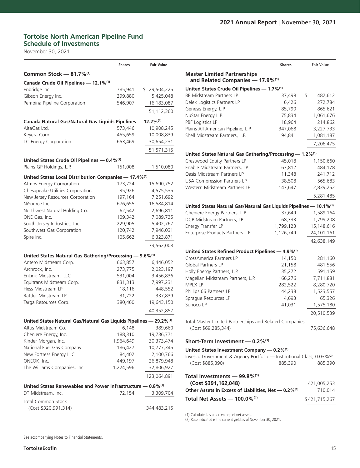# **Tortoise North American Pipeline Fund Schedule of Investments**

November 30, 2021

|                                                                                         | <b>Shares</b> | <b>Fair Value</b> |
|-----------------------------------------------------------------------------------------|---------------|-------------------|
| Common Stock - $81.7\%$ <sup>(1)</sup>                                                  |               |                   |
| Canada Crude Oil Pipelines - 12.1% <sup>(1)</sup>                                       |               |                   |
| Enbridge Inc.                                                                           | 785,941       | \$29,504,225      |
| Gibson Energy Inc.                                                                      | 299,880       | 5,425,048         |
| Pembina Pipeline Corporation                                                            | 546,907       | 16,183,087        |
|                                                                                         |               | 51,112,360        |
|                                                                                         |               |                   |
| Canada Natural Gas/Natural Gas Liquids Pipelines - 12.2% <sup>(1)</sup><br>AltaGas Ltd. | 573,446       | 10,908,245        |
| Keyera Corp.                                                                            | 455,659       | 10,008,839        |
| TC Energy Corporation                                                                   | 653,469       | 30,654,231        |
|                                                                                         |               |                   |
|                                                                                         |               | 51,571,315        |
| United States Crude Oil Pipelines - 0.4% <sup>(1)</sup>                                 |               |                   |
| Plains GP Holdings, L.P.                                                                | 151,008       | 1,510,080         |
| United States Local Distribution Companies - 17.4% <sup>(1)</sup>                       |               |                   |
| Atmos Energy Corporation                                                                | 173,724       | 15,690,752        |
| Chesapeake Utilities Corporation                                                        | 35,926        | 4,575,535         |
| New Jersey Resources Corporation                                                        | 197,164       | 7,251,692         |
| NiSource Inc.                                                                           | 676,655       | 16,584,814        |
| Northwest Natural Holding Co.                                                           | 62,542        | 2,696,811         |
| ONE Gas, Inc.                                                                           | 109,342       | 7,089,735         |
| South Jersey Industries, Inc.                                                           | 229,905       | 5,402,767         |
| Southwest Gas Corporation                                                               | 120,742       | 7,946,031         |
| Spire Inc.                                                                              | 105,662       | 6,323,871         |
|                                                                                         |               | 73,562,008        |
| United States Natural Gas Gathering/Processing - 9.6% <sup>(1)</sup>                    |               |                   |
| Antero Midstream Corp.                                                                  | 663,857       | 6,446,052         |
| Archrock, Inc.                                                                          | 273,775       | 2,023,197         |
| EnLink Midstream, LLC                                                                   | 531,004       | 3,456,836         |
| Equitrans Midstream Corp.                                                               | 831,313       | 7,997,231         |
| Hess Midstream LP                                                                       | 18,116        | 448,552           |
| Rattler Midstream LP                                                                    | 31,722        | 337,839           |
| Targa Resources Corp.                                                                   | 380,460       | 19,643,150        |
|                                                                                         |               | 40,352,857        |
| United States Natural Gas/Natural Gas Liquids Pipelines - 29.2% <sup>(1)</sup>          |               |                   |
| Altus Midstream Co.                                                                     | 6,148         | 389,660           |
| Cheniere Energy, Inc.                                                                   | 188,310       | 19,736,771        |
| Kinder Morgan, Inc.                                                                     | 1,964,649     | 30,373,474        |
| National Fuel Gas Company                                                               | 186,427       | 10,777,345        |
| New Fortress Energy LLC                                                                 | 84,402        | 2,100,766         |
| ONEOK, Inc.                                                                             | 449,197       | 26,879,948        |
| The Williams Companies, Inc.                                                            | 1,224,596     | 32,806,927        |
|                                                                                         |               | 123,064,891       |
|                                                                                         |               |                   |
| United States Renewables and Power Infrastructure $-$ 0.8% $(1)$<br>DT Midstream, Inc.  | 72,154        | 3,309,704         |
|                                                                                         |               |                   |
| <b>Total Common Stock</b>                                                               |               |                   |
| (Cost \$320,991,314)                                                                    |               | 344,483,215       |

|                                                                                    | <b>Shares</b> | <b>Fair Value</b> |
|------------------------------------------------------------------------------------|---------------|-------------------|
| <b>Master Limited Partnerships</b><br>and Related Companies - 17.9% <sup>(1)</sup> |               |                   |
| United States Crude Oil Pipelines - 1.7% <sup>(1)</sup>                            |               |                   |
| BP Midstream Partners LP                                                           | 37,499        | \$<br>482,612     |
| Delek Logistics Partners LP                                                        | 6,426         | 272,784           |
| Genesis Energy, L.P.                                                               | 85,790        | 865,621           |
| NuStar Energy L.P.                                                                 | 75,834        | 1,061,676         |
| PBF Logistics LP                                                                   | 18,964        | 214,862           |
| Plains All American Pipeline, L.P.                                                 | 347,068       | 3,227,733         |
| Shell Midstream Partners, L.P.                                                     | 94,841        | 1,081,187         |
|                                                                                    |               | 7,206,475         |
| United States Natural Gas Gathering/Processing - 1.2% <sup>(1)</sup>               |               |                   |
| Crestwood Equity Partners LP                                                       | 45,018        | 1,150,660         |
| Enable Midstream Partners, LP                                                      | 67,812        | 484,178           |
| Oasis Midstream Partners LP                                                        | 11,348        | 241,712           |
| <b>USA Compression Partners LP</b>                                                 | 38,508        | 565,683           |
| Western Midstream Partners LP                                                      | 147,647       | 2,839,252         |
|                                                                                    |               | 5,281,485         |
| United States Natural Gas/Natural Gas Liquids Pipelines - 10.1% <sup>(1)</sup>     |               |                   |
| Cheniere Energy Partners, L.P.                                                     | 37,649        | 1,589,164         |
| DCP Midstream Partners, LP                                                         | 68,333        | 1,799,208         |
| Energy Transfer LP                                                                 | 1,799,123     | 15,148,616        |
| Enterprise Products Partners L.P.                                                  | 1,126,749     | 24,101,161        |
|                                                                                    |               | 42,638,149        |
| United States Refined Product Pipelines - 4.9% <sup>(1)</sup>                      |               |                   |
| CrossAmerica Partners LP                                                           | 14,150        | 281,160           |
| Global Partners LP                                                                 | 21,158        | 481,556           |
| Holly Energy Partners, L.P.                                                        | 35,272        | 591,159           |
| Magellan Midstream Partners, L.P.                                                  | 166,276       | 7,711,881         |
| <b>MPLX LP</b>                                                                     | 282,522       | 8,280,720         |
| Phillips 66 Partners LP                                                            | 44,238        | 1,523,557         |
| Sprague Resources LP                                                               | 4,693         | 65,326            |
| Sunoco LP                                                                          | 41,031        | 1,575,180         |
|                                                                                    |               | 20,510,539        |
| Total Master Limited Partnerships and Related Companies                            |               |                   |
| (Cost \$69,285,344)                                                                |               | 75,636,648        |
| Short-Term Investment $-0.2\%$ <sup>(1)</sup>                                      |               |                   |
| United States Investment Company - 0.2% <sup>(1)</sup>                             |               |                   |
| Invesco Government & Agency Portfolio - Institutional Class, 0.03% <sup>(2)</sup>  |               |                   |
| (Cost \$885,390)                                                                   | 885,390       | 885,390           |
| Total Investments — $99.8\%$ <sup>(1)</sup>                                        |               |                   |
| (Cost \$391,162,048)                                                               |               |                   |
| Other Assets in Excess of Liabilities, Net - 0.2% <sup>(1)</sup>                   |               | 421,005,253       |
|                                                                                    |               | 710,014           |
| Total Net Assets - 100.0% <sup>(1)</sup>                                           |               | \$421,715,267     |

(1) Calculated as a percentage of net assets.

(2) Rate indicated is the current yield as of November 30, 2021.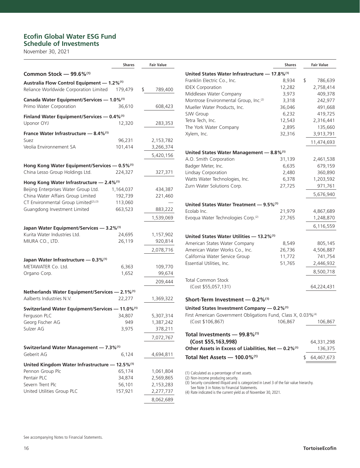### **Ecofin Global Water ESG Fund Schedule of Investments**

November 30, 2021

|                                                             | <b>Shares</b>  | <b>Fair Value</b> |
|-------------------------------------------------------------|----------------|-------------------|
| Common Stock — 99.6% $(1)$                                  |                |                   |
| Australia Flow Control Equipment - 1.2% <sup>(1)</sup>      |                |                   |
| Reliance Worldwide Corporation Limited                      | 179,479        | \$<br>789,400     |
| Canada Water Equipment/Services - 1.0% <sup>(1)</sup>       |                |                   |
| Primo Water Corporation                                     | 36,610         | 608,423           |
| Finland Water Equipment/Services - 0.4% <sup>(1)</sup>      |                |                   |
| Uponor OYJ                                                  | 12,320         | 283,353           |
| France Water Infrastructure - 8.4% <sup>(1)</sup>           |                |                   |
| Suez                                                        | 96,231         | 2,153,782         |
| Veolia Environnement SA                                     | 101,414        | 3,266,374         |
|                                                             |                | 5,420,156         |
|                                                             |                |                   |
| Hong Kong Water Equipment/Services - 0.5% <sup>(1)</sup>    |                |                   |
| China Lesso Group Holdings Ltd.                             | 224,327        | 327,371           |
| Hong Kong Water Infrastructure - 2.4% <sup>(1)</sup>        |                |                   |
| Beijing Enterprises Water Group Ltd.                        | 1,164,037      | 434,387           |
| China Water Affairs Group Limited                           | 192,739        | 221,460           |
| CT Environmental Group Limited <sup>(2),(3)</sup>           | 113,060        |                   |
| Guangdong Investment Limited                                | 663,523        | 883,222           |
|                                                             |                | 1,539,069         |
| Japan Water Equipment/Services - 3.2% <sup>(1)</sup>        |                |                   |
| Kurita Water Industries Ltd.                                | 24,695         | 1,157,902         |
| MIURA CO., LTD.                                             | 26,119         | 920,814           |
|                                                             |                | 2,078,716         |
|                                                             |                |                   |
| Japan Water Infrastructure - 0.3%(1)                        |                |                   |
| METAWATER Co. Ltd.<br>Organo Corp.                          | 6,363<br>1,652 | 109,770<br>99,674 |
|                                                             |                |                   |
|                                                             |                | 209,444           |
| Netherlands Water Equipment/Services - 2.1% <sup>(1)</sup>  |                |                   |
| Aalberts Industries N.V.                                    | 22,277         | 1,369,322         |
| Switzerland Water Equipment/Services - 11.0% <sup>(1)</sup> |                |                   |
| Ferguson PLC                                                | 34,807         | 5,307,314         |
| Georg Fischer AG                                            | 949            | 1,387,242         |
| Sulzer AG                                                   | 3,975          | 378,211           |
|                                                             |                | 7,072,767         |
| Switzerland Water Management - 7.3% <sup>(1)</sup>          |                |                   |
| Geberit AG                                                  | 6,124          | 4,694,811         |
|                                                             |                |                   |
| United Kingdom Water Infrastructure - 12.5% <sup>(1)</sup>  |                |                   |
| Pennon Group Plc                                            | 65,174         | 1,061,804         |
| Pentair PLC                                                 | 34,874         | 2,569,865         |
| Severn Trent Plc<br>United Utilities Group PLC              | 56,101         | 2,153,283         |
|                                                             | 157,921        | 2,277,737         |
|                                                             |                | 8,062,689         |

|                                                                           | Shares  | <b>Fair Value</b> |
|---------------------------------------------------------------------------|---------|-------------------|
| United States Water Infrastructure - 17.8% <sup>(1)</sup>                 |         |                   |
| Franklin Electric Co., Inc.                                               | 8,934   | \$<br>786,639     |
| <b>IDEX Corporation</b>                                                   | 12,282  | 2,758,414         |
| Middlesex Water Company                                                   | 3,973   | 409,378           |
| Montrose Environmental Group, Inc. <sup>(2)</sup>                         | 3,318   | 242,977           |
| Mueller Water Products, Inc.                                              | 36,046  | 491,668           |
| <b>SJW Group</b>                                                          | 6,232   | 419,725           |
| Tetra Tech, Inc.                                                          | 12,543  | 2,316,441         |
| The York Water Company                                                    | 2,895   | 135,660           |
| Xylem, Inc.                                                               | 32,316  | 3,913,791         |
|                                                                           |         | 11,474,693        |
| United States Water Management - 8.8% <sup>(1)</sup>                      |         |                   |
| A.O. Smith Corporation                                                    | 31,139  | 2,461,538         |
| Badger Meter, Inc.                                                        | 6,635   | 679,159           |
| Lindsay Corporation                                                       | 2,480   | 360,890           |
| Watts Water Technologies, Inc.                                            | 6,378   | 1,203,592         |
| Zurn Water Solutions Corp.                                                | 27,725  | 971,761           |
|                                                                           |         | 5,676,940         |
| United States Water Treatment - 9.5% <sup>(1)</sup>                       |         |                   |
| Ecolab Inc.                                                               | 21,979  | 4,867,689         |
| Evoqua Water Technologies Corp. <sup>(2)</sup>                            | 27,765  | 1,248,870         |
|                                                                           |         | 6,116,559         |
| United States Water Utilities - 13.2% <sup>(1)</sup>                      |         |                   |
| American States Water Company                                             | 8,549   | 805,145           |
| American Water Works Co., Inc.                                            | 26,736  | 4,506,887         |
| California Water Service Group                                            | 11,772  | 741,754           |
| Essential Utilities, Inc.                                                 | 51,765  | 2,446,932         |
|                                                                           |         | 8,500,718         |
| <b>Total Common Stock</b>                                                 |         |                   |
| (Cost \$55,057,131)                                                       |         | 64,224,431        |
| Short-Term Investment $-$ 0.2% <sup>(1)</sup>                             |         |                   |
| United States Investment Company $-0.2\%$ <sup>(1)</sup>                  |         |                   |
| First American Government Obligations Fund, Class X, 0.03% <sup>(4)</sup> |         |                   |
| (Cost \$106,867)                                                          | 106,867 | 106,867           |
| Total Investments - $99.8\%$ <sup>(1)</sup>                               |         |                   |
| (Cost \$55,163,998)                                                       |         | 64,331,298        |
| Other Assets in Excess of Liabilities, Net - 0.2% <sup>(1)</sup>          |         | 136,375           |
| Total Net Assets - 100.0% <sup>(1)</sup>                                  |         | 64,467,673<br>\$  |

(1) Calculated as a percentage of net assets.

(2) Non-income producing security.

(3) Security considered illiquid and is categorized in Level 3 of the fair value hierarchy. See Note 3 in Notes to Financial Statements.

(4) Rate indicated is the current yield as of November 30, 2021.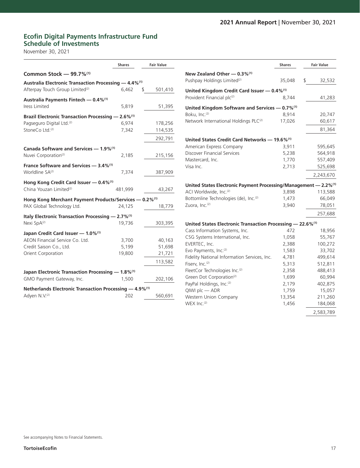# **Ecofin Digital Payments Infrastructure Fund Schedule of Investments**

November 30, 2021

|                                                                     | <b>Shares</b> | <b>Fair Value</b> |
|---------------------------------------------------------------------|---------------|-------------------|
| Common Stock $-99.7\%$ <sup>(1)</sup>                               |               |                   |
| Australia Electronic Transaction Processing - 4.4% <sup>(1)</sup>   |               |                   |
| Afterpay Touch Group Limited <sup>(2)</sup>                         | 6,462         | \$<br>501,410     |
| Australia Payments Fintech - 0.4% <sup>(1)</sup>                    |               |                   |
| Iress Limited                                                       | 5,819         | 51,395            |
| Brazil Electronic Transaction Processing - 2.6% <sup>(1)</sup>      |               |                   |
| Pagseguro Digital Ltd. <sup>(2)</sup>                               | 6.974         | 178,256           |
| StoneCo Ltd. <sup>(2)</sup>                                         | 7,342         | 114,535           |
|                                                                     |               | 292,791           |
| Canada Software and Services - 1.9% <sup>(1)</sup>                  |               |                   |
| Nuvei Corporation <sup>(2)</sup>                                    | 2,185         | 215,156           |
| France Software and Services - 3.4% <sup>(1)</sup>                  |               |                   |
| Worldline SA(2)                                                     | 7,374         | 387,909           |
| Hong Kong Credit Card Issuer - 0.4% <sup>(1)</sup>                  |               |                   |
| China Youzan Limited <sup>(2)</sup>                                 | 481,999       | 43,267            |
| Hong Kong Merchant Payment Products/Services - 0.2% <sup>(1)</sup>  |               |                   |
| PAX Global Technology Ltd.                                          | 24,125        | 18,779            |
| Italy Electronic Transaction Processing - 2.7% <sup>(1)</sup>       |               |                   |
| Nexi SpA <sup>(2)</sup>                                             | 19,736        | 303,395           |
| Japan Credit Card Issuer - 1.0% <sup>(1)</sup>                      |               |                   |
| AEON Financial Service Co. Ltd.                                     | 3,700         | 40,163            |
| Credit Saison Co., Ltd.                                             | 5,199         | 51,698            |
| Orient Corporation                                                  | 19,800        | 21,721            |
|                                                                     |               | 113,582           |
| Japan Electronic Transaction Processing - 1.8% <sup>(1)</sup>       |               |                   |
| GMO Payment Gateway, Inc.                                           | 1,500         | 202,106           |
| Netherlands Electronic Transaction Processing - 4.9% <sup>(1)</sup> |               |                   |
| Adven N.V. <sup>(2)</sup>                                           | 202           | 560,691           |

|                                                                              | <b>Shares</b> | <b>Fair Value</b> |
|------------------------------------------------------------------------------|---------------|-------------------|
| New Zealand Other - 0.3% <sup>(1)</sup>                                      |               |                   |
| Pushpay Holdings Limited <sup>(2)</sup>                                      | 35,048        | \$<br>32,532      |
| United Kingdom Credit Card Issuer - 0.4% <sup>(1)</sup>                      |               |                   |
| Provident Financial plc <sup>(2)</sup>                                       | 8,744         | 41,283            |
| United Kingdom Software and Services - 0.7% <sup>(1)</sup>                   |               |                   |
| Boku, Inc. <sup>(2)</sup>                                                    | 8,914         | 20,747            |
| Network International Holdings PLC <sup>(2)</sup>                            | 17,026        | 60,617            |
|                                                                              |               | 81,364            |
| United States Credit Card Networks - 19.6% <sup>(1)</sup>                    |               |                   |
| American Express Company                                                     | 3,911         | 595,645           |
| Discover Financial Services                                                  | 5,238         | 564,918           |
| Mastercard, Inc.                                                             | 1,770         | 557,409           |
| Visa Inc.                                                                    | 2,713         | 525,698           |
|                                                                              |               | 2,243,670         |
| United States Electronic Payment Processing/Management - 2.2% <sup>(1)</sup> |               |                   |
| ACI Worldwide, Inc. <sup>(2)</sup>                                           | 3,898         | 113,588           |
| Bottomline Technologies (de), Inc. <sup>(2)</sup>                            | 1,473         | 66,049            |
| Zuora, Inc. <sup>(2)</sup>                                                   | 3,940         | 78,051            |
|                                                                              |               | 257,688           |
| United States Electronic Transaction Processing - 22.6% <sup>(1)</sup>       |               |                   |
| Cass Information Systems, Inc.                                               | 472           | 18,956            |
| CSG Systems International, Inc.                                              | 1,058         | 55,767            |
| EVERTEC, Inc.                                                                | 2,388         | 100,272           |
| Evo Payments, Inc. <sup>(2)</sup>                                            | 1,583         | 33,702            |
| Fidelity National Information Services, Inc.                                 | 4,781         | 499,614           |
| Fiserv, Inc. <sup>(2)</sup>                                                  | 5,313         | 512,811           |
| FleetCor Technologies Inc. <sup>(2)</sup>                                    | 2,358         | 488,413           |
| Green Dot Corporation <sup>(2)</sup>                                         | 1,699         | 60,994            |
| PayPal Holdings, Inc. <sup>(2)</sup>                                         | 2,179         | 402,875           |
| QIWI plc - ADR                                                               | 1,759         | 15,057            |
| Western Union Company                                                        | 13,354        | 211,260           |
| $WEX$ Inc. <sup>(2)</sup>                                                    | 1,456         | 184,068           |
|                                                                              |               | 2,583,789         |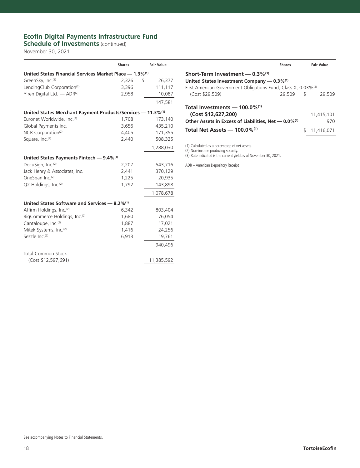# **Ecofin Digital Payments Infrastructure Fund**

**Schedule of Investments** (continued)

November 30, 2021

|                                                                         | <b>Shares</b> | <b>Fair Value</b> |
|-------------------------------------------------------------------------|---------------|-------------------|
| United States Financial Services Market Place - 1.3% <sup>(1)</sup>     |               |                   |
| GreenSky, Inc. <sup>(2)</sup>                                           | 2,326         | \$<br>26,377      |
| LendingClub Corporation <sup>(2)</sup>                                  | 3,396         | 111,117           |
| Yiren Digital Ltd. - ADR(2)                                             | 2,958         | 10,087            |
|                                                                         |               | 147,581           |
| United States Merchant Payment Products/Services - 11.3% <sup>(1)</sup> |               |                   |
| Euronet Worldwide, Inc. <sup>(2)</sup>                                  | 1,708         | 173,140           |
| Global Payments Inc.                                                    | 3,656         | 435,210           |
| NCR Corporation <sup>(2)</sup>                                          | 4,405         | 171,355           |
| Square, Inc. <sup>(2)</sup>                                             | 2,440         | 508,325           |
|                                                                         |               | 1,288,030         |
| United States Payments Fintech - 9.4% <sup>(1)</sup>                    |               |                   |
| DocuSign, Inc. <sup>(2)</sup>                                           | 2,207         | 543,716           |
| Jack Henry & Associates, Inc.                                           | 2,441         | 370,129           |
| OneSpan Inc. <sup>(2)</sup>                                             | 1,225         | 20,935            |
| Q2 Holdings, Inc.(2)                                                    | 1,792         | 143,898           |
|                                                                         |               | 1,078,678         |
| United States Software and Services - 8.2% <sup>(1)</sup>               |               |                   |
| Affirm Holdings, Inc. <sup>(2)</sup>                                    | 6,342         | 803,404           |
| BigCommerce Holdings, Inc. <sup>(2)</sup>                               | 1,680         | 76,054            |
| Cantaloupe, Inc. <sup>(2)</sup>                                         | 1,887         | 17,021            |
| Mitek Systems, Inc. <sup>(2)</sup>                                      | 1,416         | 24,256            |
| Sezzle Inc. <sup>(2)</sup>                                              | 6,913         | 19,761            |
|                                                                         |               | 940,496           |
| <b>Total Common Stock</b>                                               |               |                   |
| (Cost \$12,597,691)                                                     |               | 11,385,592        |

|                                                                                                                                                              | <b>Shares</b> | <b>Fair Value</b>               |
|--------------------------------------------------------------------------------------------------------------------------------------------------------------|---------------|---------------------------------|
| Short-Term Investment — 0.3% <sup>(1)</sup>                                                                                                                  |               |                                 |
| United States Investment Company — 0.3% <sup>(1)</sup>                                                                                                       |               |                                 |
| First American Government Obligations Fund, Class X, 0.03% <sup>(3)</sup>                                                                                    |               |                                 |
| (Cost \$29.509)                                                                                                                                              | 29,509        | \$<br>29,509                    |
| Total Investments — 100.0 $\%$ (1)<br>(Cost \$12,627,200)<br>Other Assets in Excess of Liabilities, Net — 0.0% $^{(1)}$<br>Total Net Assets — 100.0 $\%$ (1) |               | 11,415,101<br>970<br>11,416,071 |

(1) Calculated as a percentage of net assets.

(2) Non-income producing security. (3) Rate indicated is the current yield as of November 30, 2021.

ADR – American Depository Receipt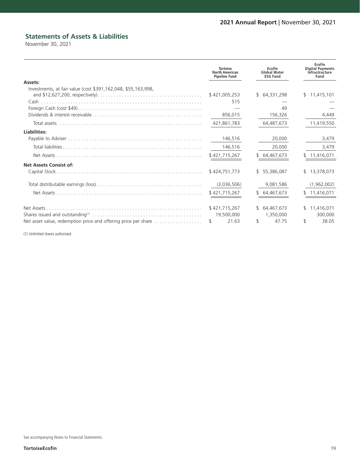# **Statements of Assets & Liabilities**

November 30, 2021

|                                                                | <b>Tortoise</b><br><b>North American</b><br><b>Pipeline Fund</b> | Ecofin<br><b>Global Water</b><br><b>ESG Fund</b> | Ecofin<br><b>Digital Payments</b><br>Infrastructure<br>Fund |
|----------------------------------------------------------------|------------------------------------------------------------------|--------------------------------------------------|-------------------------------------------------------------|
| Assets:                                                        |                                                                  |                                                  |                                                             |
| Investments, at fair value (cost \$391,162,048, \$55,163,998,  | \$421,005,253                                                    | \$64,331,298                                     | 11,415,101<br>\$                                            |
|                                                                | 515                                                              |                                                  |                                                             |
|                                                                |                                                                  | 49                                               |                                                             |
|                                                                | 856,015                                                          | 156,326                                          | 4,449                                                       |
|                                                                | 421,861,783                                                      | 64,487,673                                       | 11,419,550                                                  |
| Liabilities:                                                   |                                                                  |                                                  |                                                             |
|                                                                | 146,516                                                          | 20,000                                           | 3,479                                                       |
|                                                                | 146,516                                                          | 20,000                                           | 3,479                                                       |
|                                                                | \$421,715,267                                                    | \$64,467,673                                     | 11,416,071                                                  |
| <b>Net Assets Consist of:</b>                                  |                                                                  |                                                  |                                                             |
|                                                                | \$424,751,773                                                    | \$ 55,386,087                                    | 13,378,073<br>$\mathcal{L}$                                 |
|                                                                | (3,036,506)                                                      | 9,081,586                                        | (1,962,002)                                                 |
|                                                                | \$421,715,267                                                    | \$64,467,673                                     | \$11,416,071                                                |
|                                                                | \$421,715,267<br>19,500,000                                      | \$64,467,673<br>1,350,000                        | 11,416,071<br>\$<br>300,000                                 |
| Net asset value, redemption price and offering price per share | $\mathfrak{F}$<br>21.63                                          | \$<br>47.75                                      | \$<br>38.05                                                 |

(1) Unlimited shares authorized.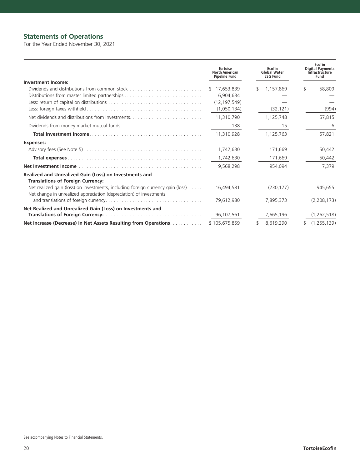### **Statements of Operations**

For the Year Ended November 30, 2021

|                                                                                                                                                        | <b>Tortoise</b><br><b>North American</b><br><b>Pipeline Fund</b> | Ecofin<br><b>Global Water</b><br><b>ESG Fund</b> | Ecofin<br><b>Digital Payments</b><br>Infrastructure<br>Fund |  |
|--------------------------------------------------------------------------------------------------------------------------------------------------------|------------------------------------------------------------------|--------------------------------------------------|-------------------------------------------------------------|--|
| <b>Investment Income:</b>                                                                                                                              |                                                                  |                                                  |                                                             |  |
| Dividends and distributions from common stock                                                                                                          | \$17,653,839                                                     | 1,157,869                                        | \$<br>58,809                                                |  |
| Distributions from master limited partnerships                                                                                                         | 6,904,634                                                        |                                                  |                                                             |  |
|                                                                                                                                                        | (12, 197, 549)                                                   |                                                  |                                                             |  |
|                                                                                                                                                        | (1,050,134)                                                      | (32, 121)                                        | (994)                                                       |  |
| Net dividends and distributions from investments                                                                                                       | 11,310,790                                                       | 1,125,748                                        | 57,815                                                      |  |
|                                                                                                                                                        | 138                                                              | 15                                               | 6                                                           |  |
|                                                                                                                                                        | 11,310,928                                                       | 1,125,763                                        | 57,821                                                      |  |
| <b>Expenses:</b>                                                                                                                                       |                                                                  |                                                  |                                                             |  |
|                                                                                                                                                        | 1,742,630                                                        | 171,669                                          | 50,442                                                      |  |
|                                                                                                                                                        | 1,742,630                                                        | 171,669                                          | 50,442                                                      |  |
| Net Investment Income                                                                                                                                  | 9,568,298                                                        | 954,094                                          | 7,379                                                       |  |
| Realized and Unrealized Gain (Loss) on Investments and<br><b>Translations of Foreign Currency:</b>                                                     |                                                                  |                                                  |                                                             |  |
| Net realized gain (loss) on investments, including foreign currency gain (loss)<br>Net change in unrealized appreciation (depreciation) of investments | 16,494,581                                                       | (230, 177)                                       | 945,655                                                     |  |
|                                                                                                                                                        | 79,612,980                                                       | 7,895,373                                        | (2,208,173)                                                 |  |
| Net Realized and Unrealized Gain (Loss) on Investments and                                                                                             |                                                                  |                                                  |                                                             |  |
|                                                                                                                                                        | 96,107,561                                                       | 7,665,196                                        | (1,262,518)                                                 |  |
| Net Increase (Decrease) in Net Assets Resulting from Operations.                                                                                       | \$105,675,859                                                    | 8,619,290                                        | (1, 255, 139)                                               |  |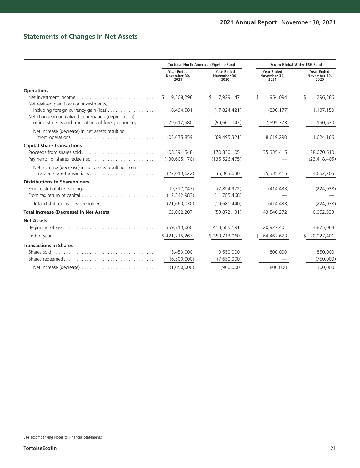# **Statements of Changes in Net Assets**

|                                                                                                |                                                                                        | <b>Tortoise North American Pipeline Fund</b> | <b>Ecofin Global Water ESG Fund</b>       |                                           |  |  |  |  |
|------------------------------------------------------------------------------------------------|----------------------------------------------------------------------------------------|----------------------------------------------|-------------------------------------------|-------------------------------------------|--|--|--|--|
|                                                                                                | <b>Year Ended</b><br><b>Year Ended</b><br>November 30,<br>November 30,<br>2021<br>2020 |                                              | <b>Year Ended</b><br>November 30,<br>2021 | <b>Year Ended</b><br>November 30,<br>2020 |  |  |  |  |
| <b>Operations</b>                                                                              |                                                                                        |                                              |                                           |                                           |  |  |  |  |
| Net realized gain (loss) on investments,                                                       | 9,568,298<br>\$.                                                                       | 7,929,147<br>\$                              | 954,094<br>\$                             | 296,386<br>\$                             |  |  |  |  |
| including foreign currency gain (loss)<br>Net change in unrealized appreciation (depreciation) | 16,494,581                                                                             | (17,824,421)                                 | (230, 177)                                | 1,137,150                                 |  |  |  |  |
| of investments and translations of foreign currency                                            | 79,612,980                                                                             | (59,600,047)                                 | 7,895,373                                 | 190,630                                   |  |  |  |  |
| Net increase (decrease) in net assets resulting                                                | 105,675,859                                                                            | (69, 495, 321)                               | 8,619,290                                 | 1,624,166                                 |  |  |  |  |
| <b>Capital Share Transactions</b>                                                              |                                                                                        |                                              |                                           |                                           |  |  |  |  |
|                                                                                                | 108,591,548                                                                            | 170,830,105                                  | 35,335,415                                | 28,070,610                                |  |  |  |  |
| Payments for shares redeemed                                                                   | (130, 605, 170)                                                                        | (135, 526, 475)                              |                                           | (23, 418, 405)                            |  |  |  |  |
| Net increase (decrease) in net assets resulting from                                           | (22,013,622)                                                                           | 35,303,630                                   | 35,335,415                                | 4,652,205                                 |  |  |  |  |
| <b>Distributions to Shareholders</b>                                                           |                                                                                        |                                              |                                           |                                           |  |  |  |  |
| From distributable earnings                                                                    | (9,317,047)<br>(12, 342, 983)                                                          | (7,894,972)<br>(11, 785, 468)                | (414, 433)                                | (224, 038)                                |  |  |  |  |
|                                                                                                | (21,660,030)                                                                           | (19,680,440)                                 | (414, 433)                                | (224, 038)                                |  |  |  |  |
| <b>Total Increase (Decrease) in Net Assets</b>                                                 | 62,002,207                                                                             | (53,872,131)                                 | 43,540,272                                | 6,052,333                                 |  |  |  |  |
| <b>Net Assets</b>                                                                              |                                                                                        |                                              |                                           |                                           |  |  |  |  |
|                                                                                                | 359,713,060                                                                            | 413,585,191                                  | 20,927,401                                | 14,875,068                                |  |  |  |  |
|                                                                                                | \$421,715,267                                                                          | \$359,713,060                                | \$64,467,673                              | 20,927,401                                |  |  |  |  |
| <b>Transactions in Shares</b>                                                                  |                                                                                        |                                              |                                           |                                           |  |  |  |  |
|                                                                                                | 5,450,000                                                                              | 9,550,000                                    | 800,000                                   | 850,000                                   |  |  |  |  |
|                                                                                                | (6,500,000)                                                                            | (7,650,000)                                  |                                           | (750,000)                                 |  |  |  |  |
| Net increase (decrease)                                                                        | (1,050,000)                                                                            | 1,900,000                                    | 800,000                                   | 100,000                                   |  |  |  |  |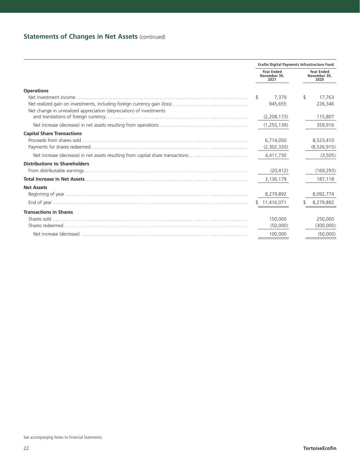# **Statements of Changes in Net Assets (continued)**

|                                                                                                                                                 |                                           | Ecofin Digital Payments Infrastructure Fund |    |                                           |  |
|-------------------------------------------------------------------------------------------------------------------------------------------------|-------------------------------------------|---------------------------------------------|----|-------------------------------------------|--|
|                                                                                                                                                 | <b>Year Ended</b><br>November 30,<br>2021 |                                             |    | <b>Year Ended</b><br>November 30,<br>2020 |  |
| <b>Operations</b>                                                                                                                               |                                           |                                             |    |                                           |  |
|                                                                                                                                                 | S                                         | 7,379                                       | \$ | 17.763                                    |  |
| Net realized gain on investments, including foreign currency gain (loss)<br>Net change in unrealized appreciation (depreciation) of investments |                                           | 945,655                                     |    | 226,346                                   |  |
|                                                                                                                                                 |                                           | (2,208,173)                                 |    | 115,807                                   |  |
|                                                                                                                                                 |                                           | (1, 255, 139)                               |    | 359,916                                   |  |
| <b>Capital Share Transactions</b>                                                                                                               |                                           |                                             |    |                                           |  |
|                                                                                                                                                 |                                           | 6,714,050                                   |    | 8,523,410                                 |  |
|                                                                                                                                                 |                                           | (2,302,320)                                 |    | (8,526,915)                               |  |
| Net increase (decrease) in net assets resulting from capital share transactions                                                                 |                                           | 4,411,730                                   |    | (3,505)                                   |  |
| <b>Distributions to Shareholders</b>                                                                                                            |                                           |                                             |    |                                           |  |
|                                                                                                                                                 |                                           | (20, 412)                                   |    | (169, 293)                                |  |
|                                                                                                                                                 |                                           | 3,136,179                                   |    | 187,118                                   |  |
| <b>Net Assets</b>                                                                                                                               |                                           |                                             |    |                                           |  |
|                                                                                                                                                 |                                           | 8,279,892                                   |    | 8,092,774                                 |  |
|                                                                                                                                                 |                                           | \$11,416,071                                |    | 8,279,892                                 |  |
| <b>Transactions in Shares</b>                                                                                                                   |                                           |                                             |    |                                           |  |
|                                                                                                                                                 |                                           | 150,000                                     |    | 250,000                                   |  |
|                                                                                                                                                 |                                           | (50,000)                                    |    | (300,000)                                 |  |
|                                                                                                                                                 |                                           | 100,000                                     |    | (50,000)                                  |  |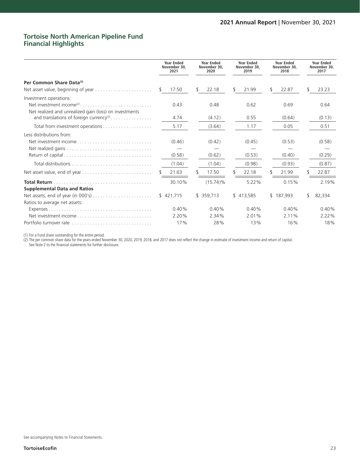# **Tortoise North American Pipeline Fund Financial Highlights**

|                                                                                  |     | <b>Year Ended</b><br>November 30.<br>2021 | <b>Year Ended</b><br><b>Year Ended</b><br>November 30.<br>November 30.<br>2019<br>2020 |    | <b>Year Ended</b><br>November 30.<br>2018 |    |           | <b>Year Ended</b><br>November 30.<br>2017 |        |
|----------------------------------------------------------------------------------|-----|-------------------------------------------|----------------------------------------------------------------------------------------|----|-------------------------------------------|----|-----------|-------------------------------------------|--------|
| Per Common Share Data <sup>(1)</sup><br>Net asset value, beginning of year       | \$. | 17.50                                     | \$<br>22.18                                                                            | \$ | 21.99                                     | \$ | 22.87     |                                           | 23.23  |
|                                                                                  |     |                                           |                                                                                        |    |                                           |    |           |                                           |        |
| Investment operations:<br>Net realized and unrealized gain (loss) on investments |     | 0.43                                      | 0.48                                                                                   |    | 0.62                                      |    | 0.69      |                                           | 0.64   |
| and translations of foreign currency <sup>(2)</sup>                              |     | 4.74                                      | (4.12)                                                                                 |    | 0.55                                      |    | (0.64)    |                                           | (0.13) |
|                                                                                  |     | 5.17                                      | (3.64)                                                                                 |    | 1.17                                      |    | 0.05      |                                           | 0.51   |
| Less distributions from:                                                         |     |                                           |                                                                                        |    |                                           |    |           |                                           |        |
| Net investment income                                                            |     | (0.46)                                    | (0.42)                                                                                 |    | (0.45)                                    |    | (0.53)    |                                           | (0.58) |
|                                                                                  |     | (0.58)                                    | (0.62)                                                                                 |    | (0.53)                                    |    | (0.40)    |                                           | (0.29) |
|                                                                                  |     | (1.04)                                    | (1.04)                                                                                 |    | (0.98)                                    |    | (0.93)    |                                           | (0.87) |
|                                                                                  |     | 21.63                                     | 17.50                                                                                  |    | 22.18                                     |    | 21.99     |                                           | 22.87  |
|                                                                                  |     | 30.10%                                    | $(15.74)\%$                                                                            |    | 5.22%                                     |    | 0.15%     |                                           | 2.19%  |
| <b>Supplemental Data and Ratios</b>                                              |     |                                           |                                                                                        |    |                                           |    |           |                                           |        |
| Net assets, end of year (in 000's) $\dots\dots\dots\dots\dots\dots\dots\dots$    |     | \$421,715                                 | \$359.713                                                                              |    | \$413,585                                 |    | \$187,993 | \$.                                       | 82,334 |
| Ratios to average net assets:                                                    |     |                                           |                                                                                        |    |                                           |    |           |                                           |        |
|                                                                                  |     | 0.40%                                     | 0.40%                                                                                  |    | 0.40%                                     |    | 0.40%     |                                           | 0.40%  |
| Net investment income                                                            |     | 2.20%                                     | 2.34%                                                                                  |    | 2.01%                                     |    | 2.11%     |                                           | 2.22%  |
|                                                                                  |     | 17%                                       | 28%                                                                                    |    | 13%                                       |    | 16%       |                                           | 18%    |

(1) For a Fund share outstanding for the entire period.

(2) The per common share data for the years ended November 30, 2020, 2019, 2018, and 2017 does not reflect the change in estimate of investment income and return of capital.

See Note 2 to the financial statements for further disclosure.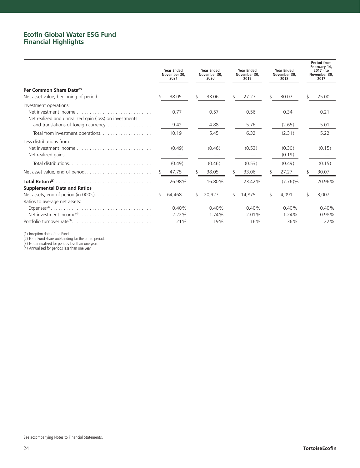# **Ecofin Global Water ESG Fund Financial Highlights**

|                                                                                  | <b>Year Ended</b><br>November 30.<br>2021 | <b>Year Ended</b><br>November 30.<br>2020 |                       | <b>Year Ended</b><br>November 30.<br>2019 |                       | <b>Year Ended</b><br>November 30.<br>2018 |                       | <b>Period from</b><br>February 14,<br>$2017^{(1)}$ to<br>November 30.<br>2017 |  |
|----------------------------------------------------------------------------------|-------------------------------------------|-------------------------------------------|-----------------------|-------------------------------------------|-----------------------|-------------------------------------------|-----------------------|-------------------------------------------------------------------------------|--|
| Per Common Share Data <sup>(2)</sup>                                             |                                           |                                           |                       |                                           |                       |                                           |                       |                                                                               |  |
| Net asset value, beginning of period                                             | 38.05                                     | \$                                        | 33.06                 | \$                                        | 27.27                 | \$                                        | 30.07                 | 25.00                                                                         |  |
| Investment operations:<br>Net realized and unrealized gain (loss) on investments | 0.77                                      |                                           | 0.57                  |                                           | 0.56                  |                                           | 0.34                  | 0.21                                                                          |  |
| and translations of foreign currency                                             | 9.42                                      |                                           | 4.88                  |                                           | 5.76                  |                                           | (2.65)                | 5.01                                                                          |  |
|                                                                                  | 10.19                                     |                                           | 5.45                  |                                           | 6.32                  |                                           | (2.31)                | 5.22                                                                          |  |
| Less distributions from:                                                         | (0.49)                                    |                                           | (0.46)                |                                           | (0.53)                |                                           | (0.30)<br>(0.19)      | (0.15)                                                                        |  |
| Total distributions                                                              | (0.49)                                    |                                           | (0.46)                |                                           | (0.53)                |                                           | (0.49)                | (0.15)                                                                        |  |
| Net asset value, end of period                                                   | 47.75                                     |                                           | 38.05                 |                                           | 33.06                 |                                           | 27.27                 | 30.07                                                                         |  |
| <b>Supplemental Data and Ratios</b>                                              | 26.98%                                    |                                           | 16.80%                |                                           | 23.42%                |                                           | $(7.76)$ %            | 20.96%                                                                        |  |
| Net assets, end of period (in 000's)<br>Ratios to average net assets:            | \$<br>64,468                              | \$                                        | 20.927                | \$                                        | 14.875                | \$                                        | 4.091                 | \$<br>3,007                                                                   |  |
|                                                                                  | 0.40%<br>2.22%<br>21%                     |                                           | 0.40%<br>1.74%<br>19% |                                           | 0.40%<br>2.01%<br>16% |                                           | 0.40%<br>1.24%<br>36% | 0.40%<br>0.98%<br>22%                                                         |  |
|                                                                                  |                                           |                                           |                       |                                           |                       |                                           |                       |                                                                               |  |

(1) Inception date of the Fund.

(2) For a Fund share outstanding for the entire period.

(3) Not annualized for periods less than one year.

(4) Annualized for periods less than one year.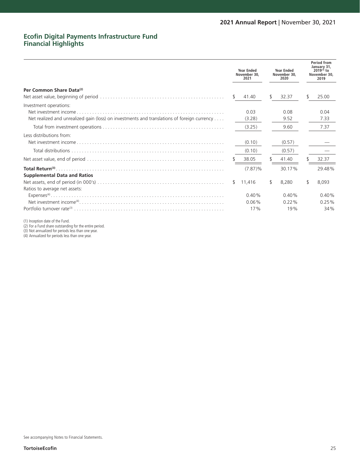# **Ecofin Digital Payments Infrastructure Fund Financial Highlights**

|                                                                                                                       | Year Ended<br>November 30.<br>2021 |                          |     | <b>Year Ended</b><br>November 30.<br>2020 |     | <b>Period from</b><br>January 31,<br>$2019^{(1)}$ to<br>November 30.<br>2019 |  |
|-----------------------------------------------------------------------------------------------------------------------|------------------------------------|--------------------------|-----|-------------------------------------------|-----|------------------------------------------------------------------------------|--|
| Per Common Share Data <sup>(2)</sup>                                                                                  |                                    |                          |     |                                           |     |                                                                              |  |
|                                                                                                                       | \$                                 | 41.40                    | \$  | 32.37                                     | Ъ   | 25.00                                                                        |  |
| Investment operations:<br>Net realized and unrealized gain (loss) on investments and translations of foreign currency |                                    | 0.03<br>(3.28)           |     | 0.08<br>9.52                              |     | 0.04<br>7.33                                                                 |  |
|                                                                                                                       |                                    | (3.25)                   |     | 9.60                                      |     | 7.37                                                                         |  |
| Less distributions from:                                                                                              |                                    | (0.10)                   |     | (0.57)                                    |     |                                                                              |  |
|                                                                                                                       |                                    | (0.10)                   |     | (0.57)                                    |     |                                                                              |  |
|                                                                                                                       |                                    | 38.05                    |     | 41.40                                     |     | 32.37                                                                        |  |
| <b>Supplemental Data and Ratios</b>                                                                                   |                                    | $(7.87)\%$               |     | 30.17%                                    |     | 29.48%                                                                       |  |
|                                                                                                                       | <sup>\$</sup>                      | 11,416                   | \$. | 8,280                                     | \$. | 8,093                                                                        |  |
| Ratios to average net assets:                                                                                         |                                    | 0.40%<br>$0.06\%$<br>17% |     | 0.40%<br>$0.22\%$<br>19%                  |     | 0.40%<br>0.25%<br>34%                                                        |  |

(1) Inception date of the Fund.

(2) For a Fund share outstanding for the entire period.

(3) Not annualized for periods less than one year.

(4) Annualized for periods less than one year.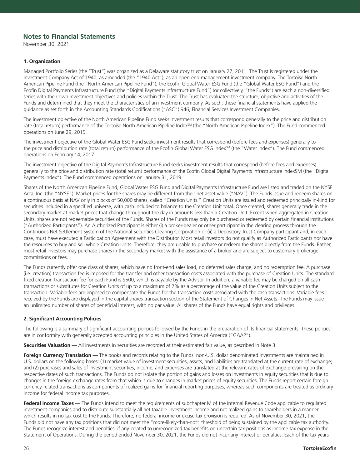# **Notes to Financial Statements**

November 30, 2021

#### **1. Organization**

Managed Portfolio Series (the "Trust") was organized as a Delaware statutory trust on January 27, 2011. The Trust is registered under the Investment Company Act of 1940, as amended (the "1940 Act"), as an open-end management investment company. The Tortoise North American Pipeline Fund (the "North American Pipeline Fund"), the Ecofin Global Water ESG Fund (the "Global Water ESG Fund") and the Ecofin Digital Payments Infrastructure Fund (the "Digital Payments Infrastructure Fund") (or collectively, "the Funds") are each a non-diversified series with their own investment objectives and policies within the Trust. The Trust has evaluated the structure, objective and activities of the Funds and determined that they meet the characteristics of an investment company. As such, these financial statements have applied the guidance as set forth in the Accounting Standards Codifications ("ASC") 946, Financial Services Investment Companies.

The investment objective of the North American Pipeline Fund seeks investment results that correspond generally to the price and distribution rate (total return) performance of the Tortoise North American Pipeline Index<sup>5M</sup> (the "North American Pipeline Index"). The Fund commenced operations on June 29, 2015.

The investment objective of the Global Water ESG Fund seeks investment results that correspond (before fees and expenses) generally to the price and distribution rate (total return) performance of the Ecofin Global Water ESG Index<sup>5M</sup> (the "Water Index"). The Fund commenced operations on February 14, 2017.

The investment objective of the Digital Payments Infrastructure Fund seeks investment results that correspond (before fees and expenses) generally to the price and distribution rate (total return) performance of the Ecofin Global Digital Payments Infrastructure IndexSM (the "Digital Payments Index"). The Fund commenced operations on January 31, 2019.

Shares of the North American Pipeline Fund, Global Water ESG Fund and Digital Payments Infrastructure Fund are listed and traded on the NYSE Arca, Inc. (the "NYSE"). Market prices for the shares may be different from their net asset value ("NAV"). The Funds issue and redeem shares on a continuous basis at NAV only in blocks of 50,000 shares, called "Creation Units." Creation Units are issued and redeemed principally in-kind for securities included in a specified universe, with cash included to balance to the Creation Unit total. Once created, shares generally trade in the secondary market at market prices that change throughout the day in amounts less than a Creation Unit. Except when aggregated in Creation Units, shares are not redeemable securities of the Funds. Shares of the Funds may only be purchased or redeemed by certain financial institutions ("Authorized Participants"). An Authorized Participant is either (i) a broker-dealer or other participant in the clearing process through the Continuous Net Settlement System of the National Securities Clearing Corporation or (ii) a Depository Trust Company participant and, in each case, must have executed a Participation Agreement with the Distributor. Most retail investors do not qualify as Authorized Participants nor have the resources to buy and sell whole Creation Units. Therefore, they are unable to purchase or redeem the shares directly from the Funds. Rather, most retail investors may purchase shares in the secondary market with the assistance of a broker and are subject to customary brokerage commissions or fees.

The Funds currently offer one class of shares, which have no front-end sales load, no deferred sales charge, and no redemption fee. A purchase (i.e. creation) transaction fee is imposed for the transfer and other transaction costs associated with the purchase of Creation Units. The standard fixed creation transaction fee for each Fund is \$500, which is payable by the Advisor. In addition, a variable fee may be charged on all cash transactions or substitutes for Creation Units of up to a maximum of 2% as a percentage of the value of the Creation Units subject to the transaction. Variable fees are imposed to compensate the Funds for the transaction costs associated with the cash transactions. Variable fees received by the Funds are displayed in the capital shares transaction section of the Statement of Changes in Net Assets. The Funds may issue an unlimited number of shares of beneficial interest, with no par value. All shares of the Funds have equal rights and privileges.

#### **2. Significant Accounting Policies**

The following is a summary of significant accounting policies followed by the Funds in the preparation of its financial statements. These policies are in conformity with generally accepted accounting principles in the United States of America ("GAAP").

**Securities Valuation** — All investments in securities are recorded at their estimated fair value, as described in Note 3.

**Foreign Currency Translation** — The books and records relating to the Funds' non-U.S. dollar denominated investments are maintained in U.S. dollars on the following bases: (1) market value of investment securities, assets, and liabilities are translated at the current rate of exchange; and (2) purchases and sales of investment securities, income, and expenses are translated at the relevant rates of exchange prevailing on the respective dates of such transactions. The Funds do not isolate the portion of gains and losses on investments in equity securities that is due to changes in the foreign exchange rates from that which is due to changes in market prices of equity securities. The Funds report certain foreign currency-related transactions as components of realized gains for financial reporting purposes, whereas such components are treated as ordinary income for federal income tax purposes.

Federal Income Taxes - The Funds intend to meet the requirements of subchapter M of the Internal Revenue Code applicable to regulated investment companies and to distribute substantially all net taxable investment income and net realized gains to shareholders in a manner which results in no tax cost to the Funds. Therefore, no federal income or excise tax provision is required. As of November 30, 2021, the Funds did not have any tax positions that did not meet the "more-likely-than-not" threshold of being sustained by the applicable tax authority. The Funds recognize interest and penalties, if any, related to unrecognized tax benefits on uncertain tax positions as income tax expense in the Statement of Operations. During the period ended November 30, 2021, the Funds did not incur any interest or penalties. Each of the tax years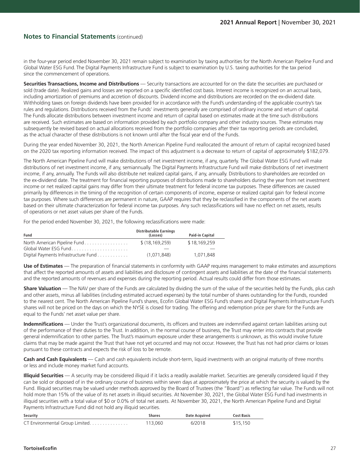in the four-year period ended November 30, 2021 remain subject to examination by taxing authorities for the North American Pipeline Fund and Global Water ESG Fund. The Digital Payments Infrastructure Fund is subject to examination by U.S. taxing authorities for the tax period since the commencement of operations.

**Securities Transactions, Income and Distributions** — Security transactions are accounted for on the date the securities are purchased or sold (trade date). Realized gains and losses are reported on a specific identified cost basis. Interest income is recognized on an accrual basis, including amortization of premiums and accretion of discounts. Dividend income and distributions are recorded on the ex-dividend date. Withholding taxes on foreign dividends have been provided for in accordance with the Fund's understanding of the applicable country's tax rules and regulations. Distributions received from the Funds' investments generally are comprised of ordinary income and return of capital. The Funds allocate distributions between investment income and return of capital based on estimates made at the time such distributions are received. Such estimates are based on information provided by each portfolio company and other industry sources. These estimates may subsequently be revised based on actual allocations received from the portfolio companies after their tax reporting periods are concluded, as the actual character of these distributions is not known until after the fiscal year end of the Funds.

During the year ended November 30, 2021, the North American Pipeline Fund reallocated the amount of return of capital recognized based on the 2020 tax reporting information received. The impact of this adjustment is a decrease to return of capital of approximately \$182,079.

The North American Pipeline Fund will make distributions of net investment income, if any, quarterly. The Global Water ESG Fund will make distributions of net investment income, if any, semiannually. The Digital Payments Infrastructure Fund will make distributions of net investment income, if any, annually. The Funds will also distribute net realized capital gains, if any, annually. Distributions to shareholders are recorded on the ex-dividend date. The treatment for financial reporting purposes of distributions made to shareholders during the year from net investment income or net realized capital gains may differ from their ultimate treatment for federal income tax purposes. These differences are caused primarily by differences in the timing of the recognition of certain components of income, expense or realized capital gain for federal income tax purposes. Where such differences are permanent in nature, GAAP requires that they be reclassified in the components of the net assets based on their ultimate characterization for federal income tax purposes. Any such reclassifications will have no effect on net assets, results of operations or net asset values per share of the Funds.

For the period ended November 30, 2021, the following reclassifications were made:

| Fund                                 | <b>Distributable Earnings</b><br>(Losses) | Paid-in Capital |
|--------------------------------------|-------------------------------------------|-----------------|
| North American Pipeline Fund         | \$(18.169.259)                            | \$18,169,259    |
| Global Water ESG Fund                |                                           |                 |
| Digital Payments Infrastructure Fund | (1.071.848)                               | 1.071.848       |

**Use of Estimates** — The preparation of financial statements in conformity with GAAP requires management to make estimates and assumptions that affect the reported amounts of assets and liabilities and disclosure of contingent assets and liabilities at the date of the financial statements and the reported amounts of revenues and expenses during the reporting period. Actual results could differ from those estimates.

**Share Valuation** — The NAV per share of the Funds are calculated by dividing the sum of the value of the securities held by the Funds, plus cash and other assets, minus all liabilities (including estimated accrued expenses) by the total number of shares outstanding for the Funds, rounded to the nearest cent. The North American Pipeline Fund's shares, Ecofin Global Water ESG Fund's shares and Digital Payments Infrastructure Fund's shares will not be priced on the days on which the NYSE is closed for trading. The offering and redemption price per share for the Funds are equal to the Funds' net asset value per share.

**Indemnifications** — Under the Trust's organizational documents, its officers and trustees are indemnified against certain liabilities arising out of the performance of their duties to the Trust. In addition, in the normal course of business, the Trust may enter into contracts that provide general indemnification to other parties. The Trust's maximum exposure under these arrangements is unknown, as this would involve future claims that may be made against the Trust that have not yet occurred and may not occur. However, the Trust has not had prior claims or losses pursuant to these contracts and expects the risk of loss to be remote.

**Cash and Cash Equivalents** — Cash and cash equivalents include short-term, liquid investments with an original maturity of three months or less and include money market fund accounts.

**Illiquid Securities** — A security may be considered illiquid if it lacks a readily available market. Securities are generally considered liquid if they can be sold or disposed of in the ordinary course of business within seven days at approximately the price at which the security is valued by the Fund. Illiquid securities may be valued under methods approved by the Board of Trustees (the "Board") as reflecting fair value. The Funds will not hold more than 15% of the value of its net assets in illiquid securities. At November 30, 2021, the Global Water ESG Fund had investments in illiquid securities with a total value of \$0 or 0.0% of total net assets. At November 30, 2021, the North American Pipeline Fund and Digital Payments Infrastructure Fund did not hold any illiquid securities.

| Security                        | Shares | Date Acquired | <b>Cost Basis</b> |
|---------------------------------|--------|---------------|-------------------|
| CT Environmental Group Limited. | 13.060 | 6/2018        | \$15.150          |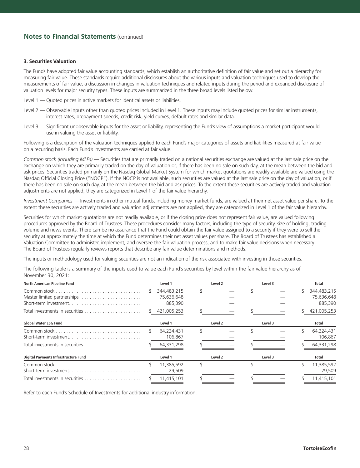#### **3. Securities Valuation**

The Funds have adopted fair value accounting standards, which establish an authoritative definition of fair value and set out a hierarchy for measuring fair value. These standards require additional disclosures about the various inputs and valuation techniques used to develop the measurements of fair value, a discussion in changes in valuation techniques and related inputs during the period and expanded disclosure of valuation levels for major security types. These inputs are summarized in the three broad levels listed below:

- Level 1 Quoted prices in active markets for identical assets or liabilities.
- Level 2 Observable inputs other than quoted prices included in Level 1. These inputs may include quoted prices for similar instruments, interest rates, prepayment speeds, credit risk, yield curves, default rates and similar data.
- Level 3 Significant unobservable inputs for the asset or liability, representing the Fund's view of assumptions a market participant would use in valuing the asset or liability.

Following is a description of the valuation techniques applied to each Fund's major categories of assets and liabilities measured at fair value on a recurring basis. Each Fund's investments are carried at fair value.

*Common stock (including MLPs)* — Securities that are primarily traded on a national securities exchange are valued at the last sale price on the exchange on which they are primarily traded on the day of valuation or, if there has been no sale on such day, at the mean between the bid and ask prices. Securities traded primarily on the Nasdaq Global Market System for which market quotations are readily available are valued using the Nasdaq Official Closing Price ("NOCP"). If the NOCP is not available, such securities are valued at the last sale price on the day of valuation, or if there has been no sale on such day, at the mean between the bid and ask prices. To the extent these securities are actively traded and valuation adjustments are not applied, they are categorized in Level 1 of the fair value hierarchy.

*Investment Companies* — Investments in other mutual funds, including money market funds, are valued at their net asset value per share. To the extent these securities are actively traded and valuation adjustments are not applied, they are categorized in Level 1 of the fair value hierarchy.

Securities for which market quotations are not readily available, or if the closing price does not represent fair value, are valued following procedures approved by the Board of Trustees. These procedures consider many factors, including the type of security, size of holding, trading volume and news events. There can be no assurance that the Fund could obtain the fair value assigned to a security if they were to sell the security at approximately the time at which the Fund determines their net asset values per share. The Board of Trustees has established a Valuation Committee to administer, implement, and oversee the fair valuation process, and to make fair value decisions when necessary. The Board of Trustees regularly reviews reports that describe any fair value determinations and methods.

The inputs or methodology used for valuing securities are not an indication of the risk associated with investing in those securities.

The following table is a summary of the inputs used to value each Fund's securities by level within the fair value hierarchy as of November 30, 2021:

| North American Pipeline Fund         | Level 1                              | Level 2 | Level 3 | <b>Total</b>                         |
|--------------------------------------|--------------------------------------|---------|---------|--------------------------------------|
| Master limited partnerships          | 344,483,215<br>75,636,648<br>885,390 |         |         | 344,483,215<br>75,636,648<br>885,390 |
|                                      | 421,005,253                          |         |         | 421,005,253                          |
| <b>Global Water ESG Fund</b>         | Level 1                              | Level 2 | Level 3 | <b>Total</b>                         |
| Short-term investment                | 64,224,431<br>106,867                | \$      |         | 64,224,431<br>106,867                |
|                                      | 64,331,298                           |         |         | 64,331,298                           |
| Digital Payments Infrastructure Fund | Level 1                              | Level 2 | Level 3 | <b>Total</b>                         |
| Short-term investment                | 11,385,592<br>29,509                 |         |         | 11,385,592<br>29,509                 |
|                                      | 11,415,101                           |         |         | 11,415,101                           |

Refer to each Fund's Schedule of Investments for additional industry information.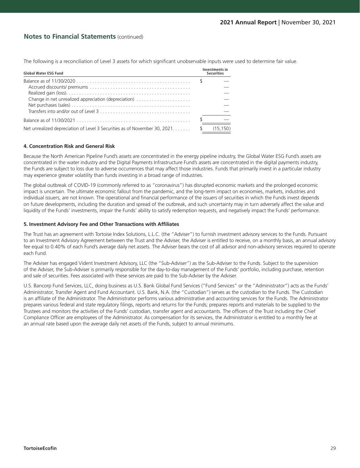The following is a reconciliation of Level 3 assets for which significant unobservable inputs were used to determine fair value.

| <b>Global Water ESG Fund</b>                                              |   | <b>Investments in</b><br><b>Securities</b> |
|---------------------------------------------------------------------------|---|--------------------------------------------|
|                                                                           | S |                                            |
|                                                                           |   |                                            |
|                                                                           |   |                                            |
| Change in net unrealized appreciation (depreciation)                      |   |                                            |
|                                                                           |   |                                            |
|                                                                           |   |                                            |
|                                                                           |   |                                            |
| Net unrealized depreciation of Level 3 Securities as of November 30, 2021 |   | (15.150)                                   |

#### **4. Concentration Risk and General Risk**

Because the North American Pipeline Fund's assets are concentrated in the energy pipeline industry, the Global Water ESG Fund's assets are concentrated in the water industry and the Digital Payments Infrastructure Fund's assets are concentrated in the digital payments industry, the Funds are subject to loss due to adverse occurrences that may affect those industries. Funds that primarily invest in a particular industry may experience greater volatility than funds investing in a broad range of industries.

The global outbreak of COVID-19 (commonly referred to as "coronavirus") has disrupted economic markets and the prolonged economic impact is uncertain. The ultimate economic fallout from the pandemic, and the long-term impact on economies, markets, industries and individual issuers, are not known. The operational and financial performance of the issuers of securities in which the Funds invest depends on future developments, including the duration and spread of the outbreak, and such uncertainty may in turn adversely affect the value and liquidity of the Funds' investments, impair the Funds' ability to satisfy redemption requests, and negatively impact the Funds' performance.

#### **5. Investment Advisory Fee and Other Transactions with Affiliates**

The Trust has an agreement with Tortoise Index Solutions, L.L.C. (the "Adviser") to furnish investment advisory services to the Funds. Pursuant to an Investment Advisory Agreement between the Trust and the Adviser, the Adviser is entitled to receive, on a monthly basis, an annual advisory fee equal to 0.40% of each Fund's average daily net assets. The Adviser bears the cost of all advisor and non-advisory services required to operate each Fund.

The Adviser has engaged Vident Investment Advisory, LLC (the "Sub-Adviser") as the Sub-Adviser to the Funds. Subject to the supervision of the Adviser, the Sub-Adviser is primarily responsible for the day-to-day management of the Funds' portfolio, including purchase, retention and sale of securities. Fees associated with these services are paid to the Sub-Adviser by the Adviser.

U.S. Bancorp Fund Services, LLC, doing business as U.S. Bank Global Fund Services ("Fund Services" or the "Administrator") acts as the Funds' Administrator, Transfer Agent and Fund Accountant. U.S. Bank, N.A. (the "Custodian") serves as the custodian to the Funds. The Custodian is an affiliate of the Administrator. The Administrator performs various administrative and accounting services for the Funds. The Administrator prepares various federal and state regulatory filings, reports and returns for the Funds; prepares reports and materials to be supplied to the Trustees and monitors the activities of the Funds' custodian, transfer agent and accountants. The officers of the Trust including the Chief Compliance Officer are employees of the Administrator. As compensation for its services, the Administrator is entitled to a monthly fee at an annual rate based upon the average daily net assets of the Funds, subject to annual minimums.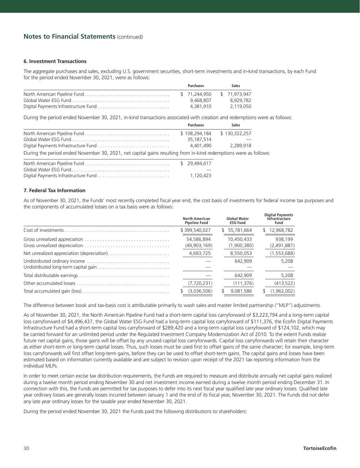#### **6. Investment Transactions**

The aggregate purchases and sales, excluding U.S. government securities, short-term investments and in-kind transactions, by each Fund for the period ended November 30, 2021, were as follows:

|  | Purchases                   | Sales     |
|--|-----------------------------|-----------|
|  | \$ 71.244.950 \$ 71.973.947 |           |
|  | 9.468.807                   | 8.929.782 |
|  | 4.381.910                   | 2.119.050 |

During the period ended November 30, 2021, in-kind transactions associated with creation and redemptions were as follows:

|                                                                                                                  | Purchases     | Sales         |  |
|------------------------------------------------------------------------------------------------------------------|---------------|---------------|--|
|                                                                                                                  | \$108,294,184 | \$130,322,257 |  |
|                                                                                                                  | 35.187.514    |               |  |
|                                                                                                                  | 4.401.490     | 2.289.918     |  |
| During the period ended November 30, 2021, net capital gains resulting from in-kind redemptions were as follows: |               |               |  |
|                                                                                                                  | \$ 29,494,617 |               |  |
|                                                                                                                  | 1,120,423     |               |  |

#### **7. Federal Tax Information**

As of November 30, 2021, the Funds' most recently completed fiscal year end, the cost basis of investments for federal income tax purposes and the components of accumulated losses on a tax basis were as follows:

| <b>North American</b><br><b>Pipeline Fund</b> | <b>Global Water</b><br><b>ESG Fund</b> | Digital Payments<br>Infrastructure<br>Fund |
|-----------------------------------------------|----------------------------------------|--------------------------------------------|
| \$399,540,027                                 | \$ 55,781,664                          | 12,968,782                                 |
| 54,586,894<br>(49,903,169)                    | 10,450,433<br>(1,900,380)              | 938.199<br>(2,491,887)                     |
| 4,683,725                                     | 8,550,053                              | (1,553,688)                                |
|                                               | 642.909                                | 5,208                                      |
|                                               | 642,909                                | 5,208                                      |
| (7, 720, 231)                                 | (111, 376)                             | (413,522)                                  |
| (3,036,506)                                   | 9.081.586                              | (1,962,002)                                |

The difference between book and tax-basis cost is attributable primarily to wash sales and master limited partnership ("MLP") adjustments.

As of November 30, 2021, the North American Pipeline Fund had a short-term capital loss carryforward of \$3,223,794 and a long-term capital loss carryforward of \$4,496,437, the Global Water ESG Fund had a long-term capital loss carryforward of \$111,376, the Ecofin Digital Payments Infrastructure Fund had a short-term capital loss carryforward of \$289,420 and a long-term capital loss carryfoward of \$124,102, which may be carried forward for an unlimited period under the Regulated Investment Company Modernization Act of 2010. To the extent Funds realize future net capital gains, those gains will be offset by any unused capital loss carryforwards. Capital loss carryforwards will retain their character as either short-term or long-term capital losses. Thus, such losses must be used first to offset gains of the same character; for example, long-term loss carryforwards will first offset long-term gains, before they can be used to offset short-term gains. The capital gains and losses have been estimated based on information currently available and are subject to revision upon receipt of the 2021 tax reporting information from the individual MLPs.

In order to meet certain excise tax distribution requirements, the Funds are required to measure and distribute annually net capital gains realized during a twelve month period ending November 30 and net investment income earned during a twelve month period ending December 31. In connection with this, the Funds are permitted for tax purposes to defer into its next fiscal year qualified late year ordinary losses. Qualified late year ordinary losses are generally losses incurred between January 1 and the end of its fiscal year, November 30, 2021. The Funds did not defer any late year ordinary losses for the taxable year ended November 30, 2021.

During the period ended November 30, 2021 the Funds paid the following distributions to shareholders:

**Digital Payments**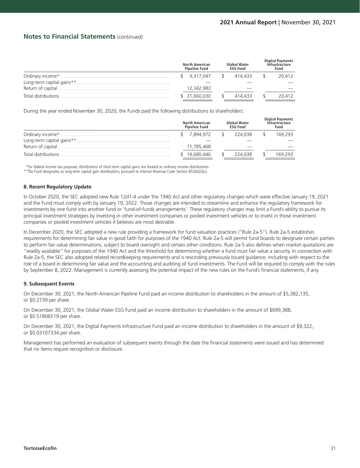|  | North American<br><b>Pipeline Fund</b> | <b>Global Water</b><br><b>ESG Fund</b> | <b>Digital Payments</b><br>Infrastructure<br>Fund |
|--|----------------------------------------|----------------------------------------|---------------------------------------------------|
|  | \$ 9.317.047 \$                        | 414 433                                | 20.412                                            |
|  |                                        |                                        |                                                   |
|  | 12,342,983                             |                                        |                                                   |
|  | \$ 21,660,030                          | 414.433                                | 20.412                                            |

During the year ended November 30, 2020, the Funds paid the following distributions to shareholders:

|                                                                                                  |  | North American<br><b>Pipeline Fund</b> |  | <b>Global Water</b><br><b>FSG Fund</b> | Digital Payments<br>Infrastructure<br>Fund |         |  |
|--------------------------------------------------------------------------------------------------|--|----------------------------------------|--|----------------------------------------|--------------------------------------------|---------|--|
| Ordinary income* $\dots\dots\dots\dots\dots\dots\dots\dots\dots\dots\dots\dots\dots$ \$7,894,972 |  |                                        |  | 224.038                                |                                            | 169.293 |  |
|                                                                                                  |  |                                        |  |                                        |                                            |         |  |
|                                                                                                  |  | 11,785,468                             |  |                                        |                                            |         |  |
|                                                                                                  |  | \$19,680,440                           |  | 224.038                                |                                            | 169.293 |  |

\*For federal income tax purposes, distributions of short-term capital gains are treated as ordinary income distributions.

\*\*The Fund designates as long-term capital gain distributions, pursuant to Internal Revenue Code Section 852(b)(3)(c).

#### **8. Recent Regulatory Update**

In October 2020, the SEC adopted new Rule 12d1-4 under the 1940 Act and other regulatory changes which were effective January 19, 2021 and the Fund must comply with by January 19, 2022. Those changes are intended to streamline and enhance the regulatory framework for investments by one fund into another fund or 'fund-of-funds arrangements'. These regulatory changes may limit a Fund's ability to pursue its principal investment strategies by investing in other investment companies or pooled investment vehicles or to invest in those investment companies or pooled investment vehicles it believes are most desirable.

In December 2020, the SEC adopted a new rule providing a framework for fund valuation practices ("Rule 2a-5"). Rule 2a-5 establishes requirements for determining fair value in good faith for purposes of the 1940 Act. Rule 2a-5 will permit fund boards to designate certain parties to perform fair value determinations, subject to board oversight and certain other conditions. Rule 2a-5 also defines when market quotations are "readily available" for purposes of the 1940 Act and the threshold for determining whether a fund must fair value a security. In connection with Rule 2a-5, the SEC also adopted related recordkeeping requirements and is rescinding previously issued guidance, including with respect to the role of a board in determining fair value and the accounting and auditing of fund investments. The Fund will be required to comply with the rules by September 8, 2022. Management is currently assessing the potential impact of the new rules on the Fund's financial statements, if any.

#### **9. Subsequent Events**

On December 30, 2021, the North American Pipeline Fund paid an income distribution to shareholders in the amount of \$5,382,135, or \$0.2739 per share.

On December 30, 2021, the Global Water ESG Fund paid an income distribution to shareholders in the amount of \$699,388, or \$0.51806519 per share.

On December 30, 2021, the Digital Payments Infrastructure Fund paid an income distribution to shareholders in the amount of \$9,322, or \$0.03107334 per share.

Management has performed an evaluation of subsequent events through the date the financial statements were issued and has determined that no items require recognition or disclosure.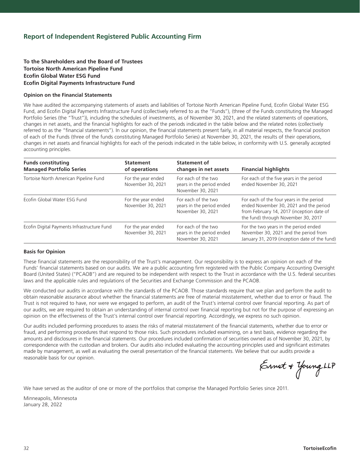### **To the Shareholders and the Board of Trustees Tortoise North American Pipeline Fund Ecofin Global Water ESG Fund Ecofin Digital Payments Infrastructure Fund**

#### **Opinion on the Financial Statements**

We have audited the accompanying statements of assets and liabilities of Tortoise North American Pipeline Fund, Ecofin Global Water ESG Fund, and Ecofin Digital Payments Infrastructure Fund (collectively referred to as the "Funds"), (three of the Funds constituting the Managed Portfolio Series (the "Trust")), including the schedules of investments, as of November 30, 2021, and the related statements of operations, changes in net assets, and the financial highlights for each of the periods indicated in the table below and the related notes (collectively referred to as the "financial statements"). In our opinion, the financial statements present fairly, in all material respects, the financial position of each of the Funds (three of the funds constituting Managed Portfolio Series) at November 30, 2021, the results of their operations, changes in net assets and financial highlights for each of the periods indicated in the table below, in conformity with U.S. generally accepted accounting principles.

| <b>Funds constituting</b><br><b>Managed Portfolio Series</b> | <b>Statement</b><br>of operations       | <b>Statement of</b><br>changes in net assets                          | <b>Financial highlights</b>                                                                                                                                            |
|--------------------------------------------------------------|-----------------------------------------|-----------------------------------------------------------------------|------------------------------------------------------------------------------------------------------------------------------------------------------------------------|
| Tortoise North American Pipeline Fund                        | For the year ended<br>November 30, 2021 | For each of the two<br>years in the period ended<br>November 30, 2021 | For each of the five years in the period<br>ended November 30, 2021                                                                                                    |
| Ecofin Global Water ESG Fund                                 | For the year ended<br>November 30, 2021 | For each of the two<br>years in the period ended<br>November 30, 2021 | For each of the four years in the period<br>ended November 30, 2021 and the period<br>from February 14, 2017 (inception date of<br>the fund) through November 30, 2017 |
| Ecofin Digital Payments Infrastructure Fund                  | For the year ended<br>November 30, 2021 | For each of the two<br>years in the period ended<br>November 30, 2021 | For the two years in the period ended<br>November 30, 2021 and the period from<br>January 31, 2019 (inception date of the fund)                                        |

#### **Basis for Opinion**

These financial statements are the responsibility of the Trust's management. Our responsibility is to express an opinion on each of the Funds' financial statements based on our audits. We are a public accounting firm registered with the Public Company Accounting Oversight Board (United States) ("PCAOB") and are required to be independent with respect to the Trust in accordance with the U.S. federal securities laws and the applicable rules and regulations of the Securities and Exchange Commission and the PCAOB.

We conducted our audits in accordance with the standards of the PCAOB. Those standards require that we plan and perform the audit to obtain reasonable assurance about whether the financial statements are free of material misstatement, whether due to error or fraud. The Trust is not required to have, nor were we engaged to perform, an audit of the Trust's internal control over financial reporting. As part of our audits, we are required to obtain an understanding of internal control over financial reporting but not for the purpose of expressing an opinion on the effectiveness of the Trust's internal control over financial reporting. Accordingly, we express no such opinion.

Our audits included performing procedures to assess the risks of material misstatement of the financial statements, whether due to error or fraud, and performing procedures that respond to those risks. Such procedures included examining, on a test basis, evidence regarding the amounts and disclosures in the financial statements. Our procedures included confirmation of securities owned as of November 30, 2021, by correspondence with the custodian and brokers. Our audits also included evaluating the accounting principles used and significant estimates made by management, as well as evaluating the overall presentation of the financial statements. We believe that our audits provide a reasonable basis for our opinion.

Ernet + Young LLP

We have served as the auditor of one or more of the portfolios that comprise the Managed Portfolio Series since 2011.

Minneapolis, Minnesota January 28, 2022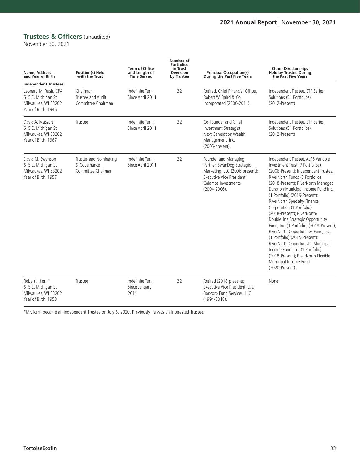# **Trustees & Officers** (unaudited)

November 30, 2021

| Name, Address<br>and Year of Birth                                                        | <b>Position(s) Held</b><br>with the Trust                    | <b>Term of Office</b><br>and Length of<br><b>Time Served</b> | Number of<br><b>Portfolios</b><br>in Trust<br>Overseen<br>by Trustee | <b>Principal Occupation(s)</b><br><b>During the Past Five Years</b>                                                                                           | <b>Other Directorships</b><br><b>Held by Trustee During</b><br>the Past Five Years                                                                                                                                                                                                                                                                                                                                                                                                                                                                                                                                                                                             |
|-------------------------------------------------------------------------------------------|--------------------------------------------------------------|--------------------------------------------------------------|----------------------------------------------------------------------|---------------------------------------------------------------------------------------------------------------------------------------------------------------|--------------------------------------------------------------------------------------------------------------------------------------------------------------------------------------------------------------------------------------------------------------------------------------------------------------------------------------------------------------------------------------------------------------------------------------------------------------------------------------------------------------------------------------------------------------------------------------------------------------------------------------------------------------------------------|
| <b>Independent Trustees</b>                                                               |                                                              |                                                              |                                                                      |                                                                                                                                                               |                                                                                                                                                                                                                                                                                                                                                                                                                                                                                                                                                                                                                                                                                |
| Leonard M. Rush, CPA<br>615 E. Michigan St.<br>Milwaukee, WI 53202<br>Year of Birth: 1946 | Chairman,<br>Trustee and Audit<br>Committee Chairman         | Indefinite Term;<br>Since April 2011                         | 32                                                                   | Retired, Chief Financial Officer,<br>Robert W. Baird & Co.<br>Incorporated (2000-2011).                                                                       | Independent Trustee, ETF Series<br>Solutions (51 Portfolios)<br>(2012-Present)                                                                                                                                                                                                                                                                                                                                                                                                                                                                                                                                                                                                 |
| David A. Massart<br>615 E. Michigan St.<br>Milwaukee, WI 53202<br>Year of Birth: 1967     | Trustee                                                      | Indefinite Term;<br>Since April 2011                         | 32                                                                   | Co-Founder and Chief<br>Investment Strategist,<br>Next Generation Wealth<br>Management, Inc.<br>(2005-present).                                               | Independent Trustee, ETF Series<br>Solutions (51 Portfolios)<br>(2012-Present)                                                                                                                                                                                                                                                                                                                                                                                                                                                                                                                                                                                                 |
| David M. Swanson<br>615 E. Michigan St.<br>Milwaukee, WI 53202<br>Year of Birth: 1957     | Trustee and Nominating<br>& Governance<br>Committee Chairman | Indefinite Term;<br>Since April 2011                         | 32                                                                   | Founder and Managing<br>Partner, SwanDog Strategic<br>Marketing, LLC (2006-present);<br>Executive Vice President.<br>Calamos Investments<br>$(2004 - 2006)$ . | Independent Trustee, ALPS Variable<br>Investment Trust (7 Portfolios)<br>(2006-Present); Independent Trustee,<br>RiverNorth Funds (3 Portfolios)<br>(2018-Present); RiverNorth Managed<br>Duration Municipal Income Fund Inc.<br>(1 Portfolio) (2019-Present);<br>RiverNorth Specialty Finance<br>Corporation (1 Portfolio)<br>(2018-Present); RiverNorth/<br>DoubleLine Strategic Opportunity<br>Fund, Inc. (1 Portfolio) (2018-Present);<br>RiverNorth Opportunities Fund, Inc.<br>(1 Portfolio) (2015-Present);<br>RiverNorth Opportunistic Municipal<br>Income Fund, Inc. (1 Portfolio)<br>(2018-Present); RiverNorth Flexible<br>Municipal Income Fund<br>(2020-Present). |
| Robert J. Kern*<br>615 E. Michigan St.<br>Milwaukee, WI 53202<br>Year of Birth: 1958      | Trustee                                                      | Indefinite Term;<br>Since January<br>2011                    | 32                                                                   | Retired (2018-present);<br>Executive Vice President, U.S.<br>Bancorp Fund Services, LLC<br>$(1994 - 2018)$ .                                                  | None                                                                                                                                                                                                                                                                                                                                                                                                                                                                                                                                                                                                                                                                           |

\*Mr. Kern became an independent Trustee on July 6, 2020. Previously he was an Interested Trustee.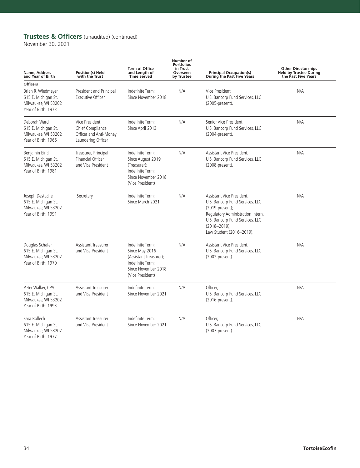# **Trustees & Officers** (unaudited) (continued)

November 30, 2021

| Name, Address<br>and Year of Birth                                                                         | <b>Position(s) Held</b><br>with the Trust                                           | <b>Term of Office</b><br>and Length of<br><b>Time Served</b>                                                                | Number of<br><b>Portfolios</b><br>in Trust<br>Overseen<br>by Trustee | <b>Principal Occupation(s)</b><br>During the Past Five Years                                                                                                                                             | <b>Other Directorships</b><br><b>Held by Trustee During</b><br>the Past Five Years |
|------------------------------------------------------------------------------------------------------------|-------------------------------------------------------------------------------------|-----------------------------------------------------------------------------------------------------------------------------|----------------------------------------------------------------------|----------------------------------------------------------------------------------------------------------------------------------------------------------------------------------------------------------|------------------------------------------------------------------------------------|
| <b>Officers</b><br>Brian R. Wiedmeyer<br>615 E. Michigan St.<br>Milwaukee, WI 53202<br>Year of Birth: 1973 | President and Principal<br><b>Executive Officer</b>                                 | Indefinite Term;<br>Since November 2018                                                                                     | N/A                                                                  | Vice President,<br>U.S. Bancorp Fund Services, LLC<br>(2005-present).                                                                                                                                    | N/A                                                                                |
| Deborah Ward<br>615 E. Michigan St.<br>Milwaukee, WI 53202<br>Year of Birth: 1966                          | Vice President.<br>Chief Compliance<br>Officer and Anti-Money<br>Laundering Officer | Indefinite Term:<br>Since April 2013                                                                                        | N/A                                                                  | Senior Vice President.<br>U.S. Bancorp Fund Services, LLC<br>(2004-present).                                                                                                                             | N/A                                                                                |
| Benjamin Eirich<br>615 E. Michigan St.<br>Milwaukee, WI 53202<br>Year of Birth: 1981                       | Treasurer, Principal<br><b>Financial Officer</b><br>and Vice President              | Indefinite Term;<br>Since August 2019<br>(Treasurer);<br>Indefinite Term:<br>Since November 2018<br>(Vice President)        | N/A                                                                  | Assistant Vice President,<br>U.S. Bancorp Fund Services, LLC<br>(2008-present).                                                                                                                          | N/A                                                                                |
| Joseph Destache<br>615 E. Michigan St.<br>Milwaukee, WI 53202<br>Year of Birth: 1991                       | Secretary                                                                           | Indefinite Term:<br>Since March 2021                                                                                        | N/A                                                                  | Assistant Vice President.<br>U.S. Bancorp Fund Services, LLC<br>(2019-present);<br>Regulatory Administration Intern,<br>U.S. Bancorp Fund Services, LLC<br>$(2018 - 2019)$ ;<br>Law Student (2016-2019). | N/A                                                                                |
| Douglas Schafer<br>615 E. Michigan St.<br>Milwaukee. WI 53202<br>Year of Birth: 1970                       | Assistant Treasurer<br>and Vice President                                           | Indefinite Term;<br>Since May 2016<br>(Assistant Treasurer);<br>Indefinite Term;<br>Since November 2018<br>(Vice President) | N/A                                                                  | Assistant Vice President,<br>U.S. Bancorp Fund Services, LLC<br>(2002-present).                                                                                                                          | N/A                                                                                |
| Peter Walker, CPA<br>615 E. Michigan St.<br>Milwaukee, WI 53202<br>Year of Birth: 1993                     | Assistant Treasurer<br>and Vice President                                           | Indefinite Term:<br>Since November 2021                                                                                     | N/A                                                                  | Officer.<br>U.S. Bancorp Fund Services, LLC<br>(2016-present).                                                                                                                                           | N/A                                                                                |
| Sara Bollech<br>615 E. Michigan St.<br>Milwaukee, WI 53202<br>Year of Birth: 1977                          | Assistant Treasurer<br>and Vice President                                           | Indefinite Term:<br>Since November 2021                                                                                     | N/A                                                                  | Officer.<br>U.S. Bancorp Fund Services, LLC<br>(2007-present).                                                                                                                                           | N/A                                                                                |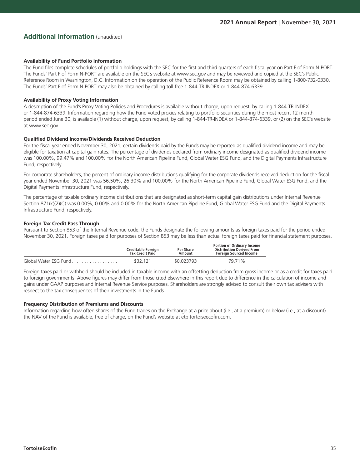# **Additional Information** (unaudited)

#### **Availability of Fund Portfolio Information**

The Fund files complete schedules of portfolio holdings with the SEC for the first and third quarters of each fiscal year on Part F of Form N-PORT. The Funds' Part F of Form N-PORT are available on the SEC's website at www.sec.gov and may be reviewed and copied at the SEC's Public Reference Room in Washington, D.C. Information on the operation of the Public Reference Room may be obtained by calling 1-800-732-0330. The Funds' Part F of Form N-PORT may also be obtained by calling toll-free 1-844-TR-INDEX or 1-844-874-6339.

#### **Availability of Proxy Voting Information**

A description of the Fund's Proxy Voting Policies and Procedures is available without charge, upon request, by calling 1-844-TR-INDEX or 1-844-874-6339. Information regarding how the Fund voted proxies relating to portfolio securities during the most recent 12 month period ended June 30, is available (1) without charge, upon request, by calling 1-844-TR-INDEX or 1-844-874-6339, or (2) on the SEC's website at www.sec.gov.

#### **Qualified Dividend Income/Dividends Received Deduction**

For the fiscal year ended November 30, 2021, certain dividends paid by the Funds may be reported as qualified dividend income and may be eligible for taxation at capital gain rates. The percentage of dividends declared from ordinary income designated as qualified dividend income was 100.00%, 99.47% and 100.00% for the North American Pipeline Fund, Global Water ESG Fund, and the Digital Payments Infrastructure Fund, respectively.

For corporate shareholders, the percent of ordinary income distributions qualifying for the corporate dividends received deduction for the fiscal year ended November 30, 2021 was 56.50%, 26.30% and 100.00% for the North American Pipeline Fund, Global Water ESG Fund, and the Digital Payments Infrastructure Fund, respectively.

The percentage of taxable ordinary income distributions that are designated as short-term capital gain distributions under Internal Revenue Section 871(k)(2)(C) was 0.00%, 0.00% and 0.00% for the North American Pipeline Fund, Global Water ESG Fund and the Digital Payments Infrastructure Fund, respectively.

#### **Foreign Tax Credit Pass Through**

Pursuant to Section 853 of the Internal Revenue code, the Funds designate the following amounts as foreign taxes paid for the period ended November 30, 2021. Foreign taxes paid for purposes of Section 853 may be less than actual foreign taxes paid for financial statement purposes.

|                       | <b>Creditable Foreign</b><br><b>Tax Credit Paid</b> | <b>Per Share</b><br>Amount | <b>Portion of Ordinary Income</b><br><b>Distribution Derived From</b><br><b>Foreign Sourced Income</b> |
|-----------------------|-----------------------------------------------------|----------------------------|--------------------------------------------------------------------------------------------------------|
| Global Water ESG Fund | \$32.121                                            | \$0.023793                 | 79.71%                                                                                                 |

Foreign taxes paid or withheld should be included in taxable income with an offsetting deduction from gross income or as a credit for taxes paid to foreign governments. Above figures may differ from those cited elsewhere in this report due to difference in the calculation of income and gains under GAAP purposes and Internal Revenue Service purposes. Shareholders are strongly advised to consult their own tax advisers with respect to the tax consequences of their investments in the Funds.

#### **Frequency Distribution of Premiums and Discounts**

Information regarding how often shares of the Fund trades on the Exchange at a price about (i.e., at a premium) or below (i.e., at a discount) the NAV of the Fund is available, free of charge, on the Fund's website at etp.tortoiseecofin.com.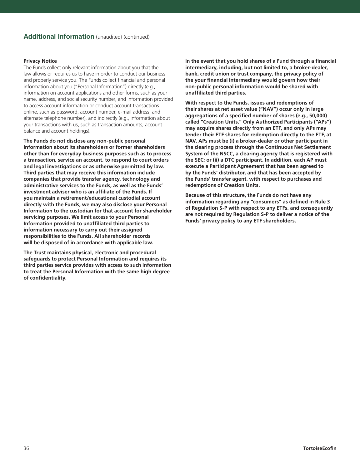#### **Privacy Notice**

The Funds collect only relevant information about you that the law allows or requires us to have in order to conduct our business and properly service you. The Funds collect financial and personal information about you ("Personal Information") directly (e.g., information on account applications and other forms, such as your name, address, and social security number, and information provided to access account information or conduct account transactions online, such as password, account number, e-mail address, and alternate telephone number), and indirectly (e.g., information about your transactions with us, such as transaction amounts, account balance and account holdings).

**The Funds do not disclose any non-public personal information about its shareholders or former shareholders other than for everyday business purposes such as to process a transaction, service an account, to respond to court orders and legal investigations or as otherwise permitted by law. Third parties that may receive this information include companies that provide transfer agency, technology and administrative services to the Funds, as well as the Funds' investment adviser who is an affiliate of the Funds. If you maintain a retirement/educational custodial account directly with the Funds, we may also disclose your Personal Information to the custodian for that account for shareholder servicing purposes. We limit access to your Personal Information provided to unaffiliated third parties to information necessary to carry out their assigned responsibilities to the Funds. All shareholder records will be disposed of in accordance with applicable law.**

**The Trust maintains physical, electronic and procedural safeguards to protect Personal Information and requires its third parties service provides with access to such information to treat the Personal Information with the same high degree of confidentiality.**

**In the event that you hold shares of a Fund through a financial intermediary, including, but not limited to, a broker-dealer, bank, credit union or trust company, the privacy policy of the your financial intermediary would govern how their non-public personal information would be shared with unaffiliated third parties.**

**With respect to the Funds, issues and redemptions of their shares at net asset value ("NAV") occur only in large aggregations of a specified number of shares (e.g., 50,000) called "Creation Units." Only Authorized Participants ("APs") may acquire shares directly from an ETF, and only APs may tender their ETF shares for redemption directly to the ETF, at NAV. APs must be (i) a broker-dealer or other participant in the clearing process through the Continuous Net Settlement System of the NSCC, a clearing agency that is registered with the SEC; or (ii) a DTC participant. In addition, each AP must execute a Participant Agreement that has been agreed to by the Funds' distributor, and that has been accepted by the Funds' transfer agent, with respect to purchases and redemptions of Creation Units.** 

**Because of this structure, the Funds do not have any information regarding any "consumers" as defined in Rule 3 of Regulation S-P with respect to any ETFs, and consequently are not required by Regulation S-P to deliver a notice of the Funds' privacy policy to any ETF shareholders.**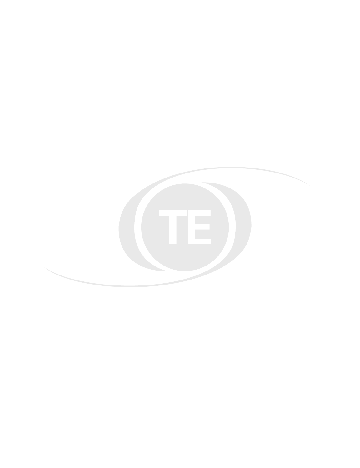